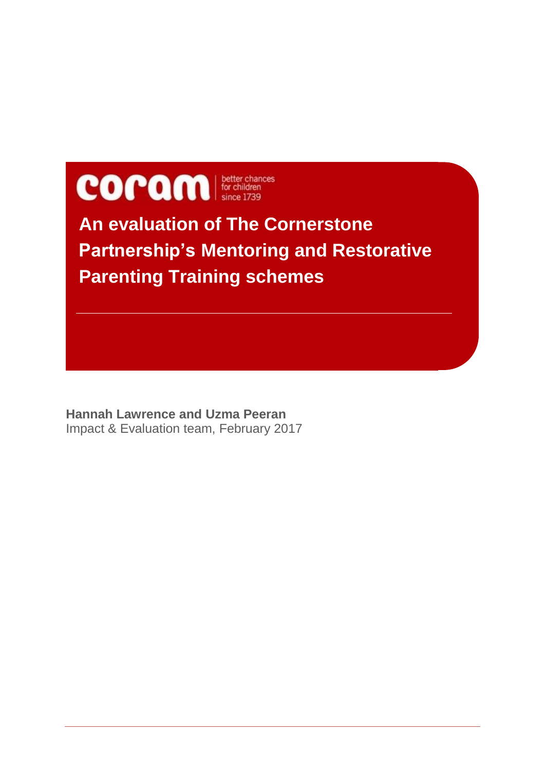

**An evaluation of The Cornerstone Partnership's Mentoring and Restorative Parenting Training schemes**

**Hannah Lawrence and Uzma Peeran** Impact & Evaluation team, February 2017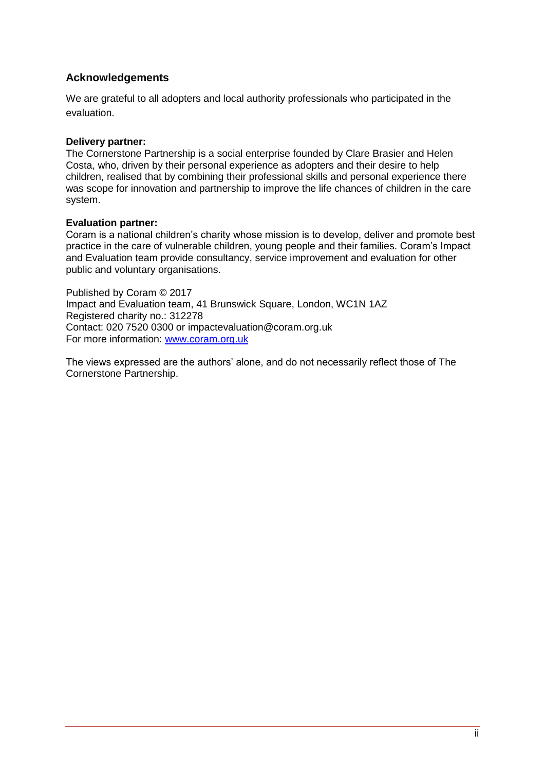#### <span id="page-1-0"></span>**Acknowledgements**

We are grateful to all adopters and local authority professionals who participated in the evaluation.

#### **Delivery partner:**

The Cornerstone Partnership is a social enterprise founded by Clare Brasier and Helen Costa, who, driven by their personal experience as adopters and their desire to help children, realised that by combining their professional skills and personal experience there was scope for innovation and partnership to improve the life chances of children in the care system.

#### **Evaluation partner:**

Coram is a national children's charity whose mission is to develop, deliver and promote best practice in the care of vulnerable children, young people and their families. Coram's Impact and Evaluation team provide consultancy, service improvement and evaluation for other public and voluntary organisations.

Published by Coram © 2017 Impact and Evaluation team, 41 Brunswick Square, London, WC1N 1AZ Registered charity no.: 312278 Contact: 020 7520 0300 or impactevaluation@coram.org.uk For more information: [www.coram.org.uk](http://www.coram.org.uk/)

The views expressed are the authors' alone, and do not necessarily reflect those of The Cornerstone Partnership.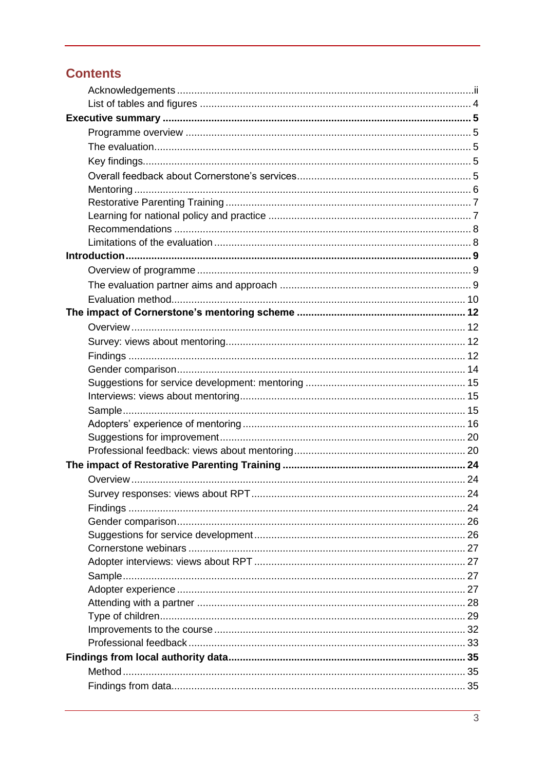# **Contents**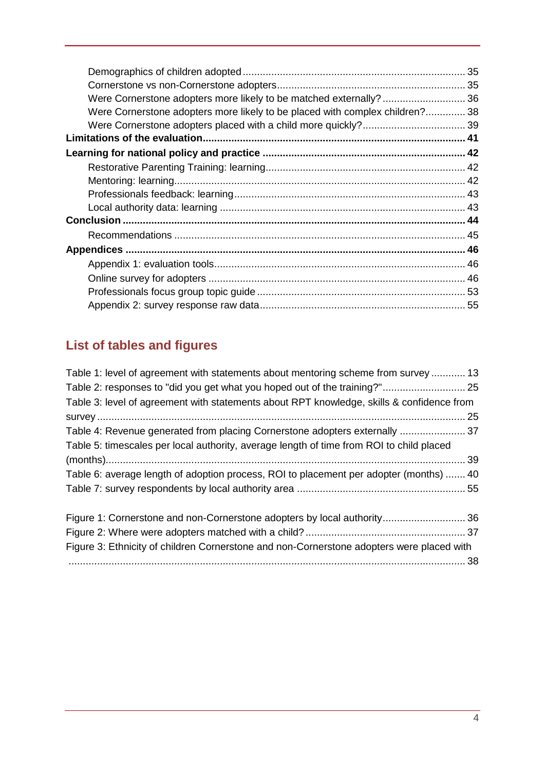| Were Cornerstone adopters more likely to be matched externally?  36          |  |
|------------------------------------------------------------------------------|--|
| Were Cornerstone adopters more likely to be placed with complex children? 38 |  |
|                                                                              |  |
|                                                                              |  |
|                                                                              |  |
|                                                                              |  |
|                                                                              |  |
|                                                                              |  |
|                                                                              |  |
|                                                                              |  |
|                                                                              |  |
|                                                                              |  |
|                                                                              |  |
|                                                                              |  |
|                                                                              |  |
|                                                                              |  |
|                                                                              |  |

# <span id="page-3-0"></span>**List of tables and figures**

| Table 1: level of agreement with statements about mentoring scheme from survey 13         |  |
|-------------------------------------------------------------------------------------------|--|
| Table 2: responses to "did you get what you hoped out of the training?" 25                |  |
| Table 3: level of agreement with statements about RPT knowledge, skills & confidence from |  |
|                                                                                           |  |
| Table 4: Revenue generated from placing Cornerstone adopters externally  37               |  |
| Table 5: timescales per local authority, average length of time from ROI to child placed  |  |
|                                                                                           |  |
| Table 6: average length of adoption process, ROI to placement per adopter (months)  40    |  |
|                                                                                           |  |
|                                                                                           |  |
|                                                                                           |  |
| Figure 3: Ethnicity of children Cornerstone and non-Cornerstone adopters were placed with |  |
|                                                                                           |  |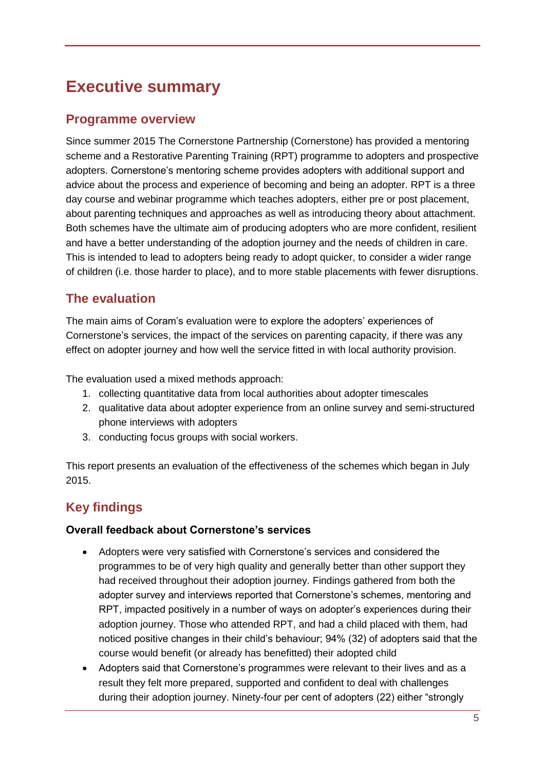# <span id="page-4-0"></span>**Executive summary**

## <span id="page-4-1"></span>**Programme overview**

Since summer 2015 The Cornerstone Partnership (Cornerstone) has provided a mentoring scheme and a Restorative Parenting Training (RPT) programme to adopters and prospective adopters. Cornerstone's mentoring scheme provides adopters with additional support and advice about the process and experience of becoming and being an adopter. RPT is a three day course and webinar programme which teaches adopters, either pre or post placement, about parenting techniques and approaches as well as introducing theory about attachment. Both schemes have the ultimate aim of producing adopters who are more confident, resilient and have a better understanding of the adoption journey and the needs of children in care. This is intended to lead to adopters being ready to adopt quicker, to consider a wider range of children (i.e. those harder to place), and to more stable placements with fewer disruptions.

# <span id="page-4-2"></span>**The evaluation**

The main aims of Coram's evaluation were to explore the adopters' experiences of Cornerstone's services, the impact of the services on parenting capacity, if there was any effect on adopter journey and how well the service fitted in with local authority provision.

The evaluation used a mixed methods approach:

- 1. collecting quantitative data from local authorities about adopter timescales
- 2. qualitative data about adopter experience from an online survey and semi-structured phone interviews with adopters
- 3. conducting focus groups with social workers.

This report presents an evaluation of the effectiveness of the schemes which began in July 2015.

# <span id="page-4-3"></span>**Key findings**

## <span id="page-4-4"></span>**Overall feedback about Cornerstone's services**

- Adopters were very satisfied with Cornerstone's services and considered the programmes to be of very high quality and generally better than other support they had received throughout their adoption journey. Findings gathered from both the adopter survey and interviews reported that Cornerstone's schemes, mentoring and RPT, impacted positively in a number of ways on adopter's experiences during their adoption journey. Those who attended RPT, and had a child placed with them, had noticed positive changes in their child's behaviour; 94% (32) of adopters said that the course would benefit (or already has benefitted) their adopted child
- Adopters said that Cornerstone's programmes were relevant to their lives and as a result they felt more prepared, supported and confident to deal with challenges during their adoption journey. Ninety-four per cent of adopters (22) either "strongly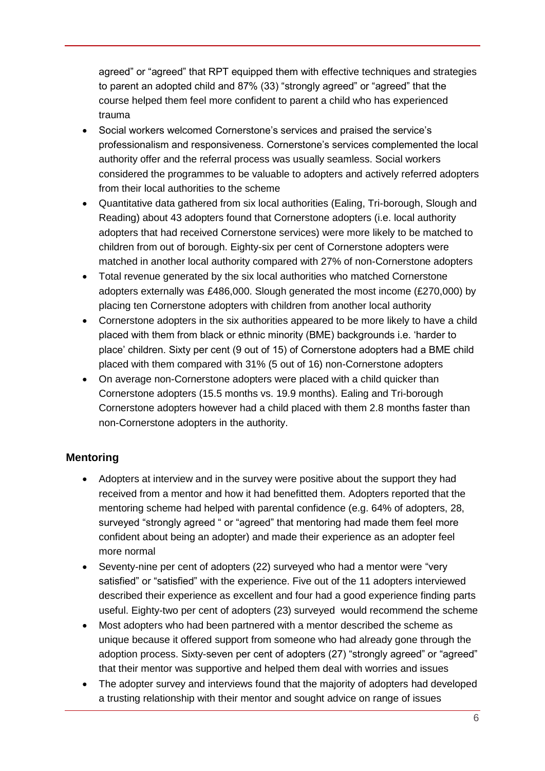agreed" or "agreed" that RPT equipped them with effective techniques and strategies to parent an adopted child and 87% (33) "strongly agreed" or "agreed" that the course helped them feel more confident to parent a child who has experienced trauma

- Social workers welcomed Cornerstone's services and praised the service's professionalism and responsiveness. Cornerstone's services complemented the local authority offer and the referral process was usually seamless. Social workers considered the programmes to be valuable to adopters and actively referred adopters from their local authorities to the scheme
- Quantitative data gathered from six local authorities (Ealing, Tri-borough, Slough and Reading) about 43 adopters found that Cornerstone adopters (i.e. local authority adopters that had received Cornerstone services) were more likely to be matched to children from out of borough. Eighty-six per cent of Cornerstone adopters were matched in another local authority compared with 27% of non-Cornerstone adopters
- Total revenue generated by the six local authorities who matched Cornerstone adopters externally was £486,000. Slough generated the most income (£270,000) by placing ten Cornerstone adopters with children from another local authority
- Cornerstone adopters in the six authorities appeared to be more likely to have a child placed with them from black or ethnic minority (BME) backgrounds i.e. 'harder to place' children. Sixty per cent (9 out of 15) of Cornerstone adopters had a BME child placed with them compared with 31% (5 out of 16) non-Cornerstone adopters
- On average non-Cornerstone adopters were placed with a child quicker than Cornerstone adopters (15.5 months vs. 19.9 months). Ealing and Tri-borough Cornerstone adopters however had a child placed with them 2.8 months faster than non-Cornerstone adopters in the authority.

## <span id="page-5-0"></span>**Mentoring**

- Adopters at interview and in the survey were positive about the support they had received from a mentor and how it had benefitted them. Adopters reported that the mentoring scheme had helped with parental confidence (e.g. 64% of adopters, 28, surveyed "strongly agreed " or "agreed" that mentoring had made them feel more confident about being an adopter) and made their experience as an adopter feel more normal
- Seventy-nine per cent of adopters (22) surveyed who had a mentor were "very satisfied" or "satisfied" with the experience. Five out of the 11 adopters interviewed described their experience as excellent and four had a good experience finding parts useful. Eighty-two per cent of adopters (23) surveyed would recommend the scheme
- Most adopters who had been partnered with a mentor described the scheme as unique because it offered support from someone who had already gone through the adoption process. Sixty-seven per cent of adopters (27) "strongly agreed" or "agreed" that their mentor was supportive and helped them deal with worries and issues
- The adopter survey and interviews found that the majority of adopters had developed a trusting relationship with their mentor and sought advice on range of issues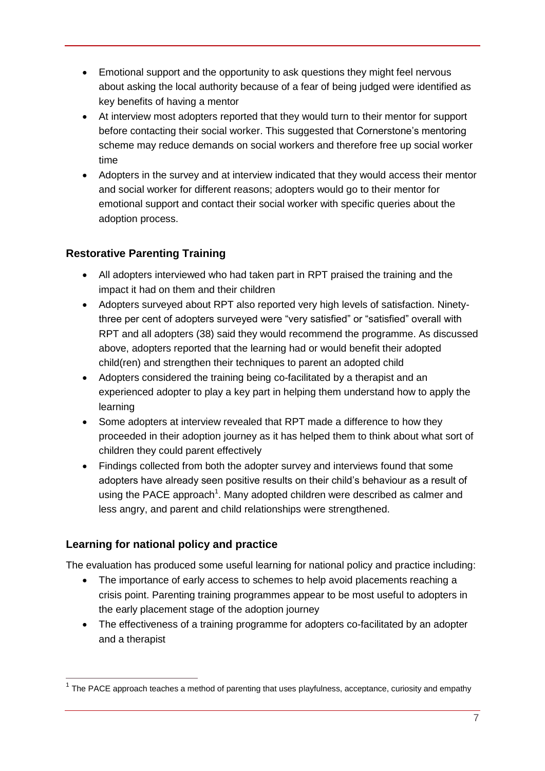- Emotional support and the opportunity to ask questions they might feel nervous about asking the local authority because of a fear of being judged were identified as key benefits of having a mentor
- At interview most adopters reported that they would turn to their mentor for support before contacting their social worker. This suggested that Cornerstone's mentoring scheme may reduce demands on social workers and therefore free up social worker time
- Adopters in the survey and at interview indicated that they would access their mentor and social worker for different reasons; adopters would go to their mentor for emotional support and contact their social worker with specific queries about the adoption process.

## <span id="page-6-0"></span>**Restorative Parenting Training**

- All adopters interviewed who had taken part in RPT praised the training and the impact it had on them and their children
- Adopters surveyed about RPT also reported very high levels of satisfaction. Ninetythree per cent of adopters surveyed were "very satisfied" or "satisfied" overall with RPT and all adopters (38) said they would recommend the programme. As discussed above, adopters reported that the learning had or would benefit their adopted child(ren) and strengthen their techniques to parent an adopted child
- Adopters considered the training being co-facilitated by a therapist and an experienced adopter to play a key part in helping them understand how to apply the learning
- Some adopters at interview revealed that RPT made a difference to how they proceeded in their adoption journey as it has helped them to think about what sort of children they could parent effectively
- Findings collected from both the adopter survey and interviews found that some adopters have already seen positive results on their child's behaviour as a result of using the PACE approach<sup>1</sup>. Many adopted children were described as calmer and less angry, and parent and child relationships were strengthened.

## <span id="page-6-1"></span>**Learning for national policy and practice**

 $\overline{a}$ 

The evaluation has produced some useful learning for national policy and practice including:

- The importance of early access to schemes to help avoid placements reaching a crisis point. Parenting training programmes appear to be most useful to adopters in the early placement stage of the adoption journey
- The effectiveness of a training programme for adopters co-facilitated by an adopter and a therapist

 $1$  The PACE approach teaches a method of parenting that uses playfulness, acceptance, curiosity and empathy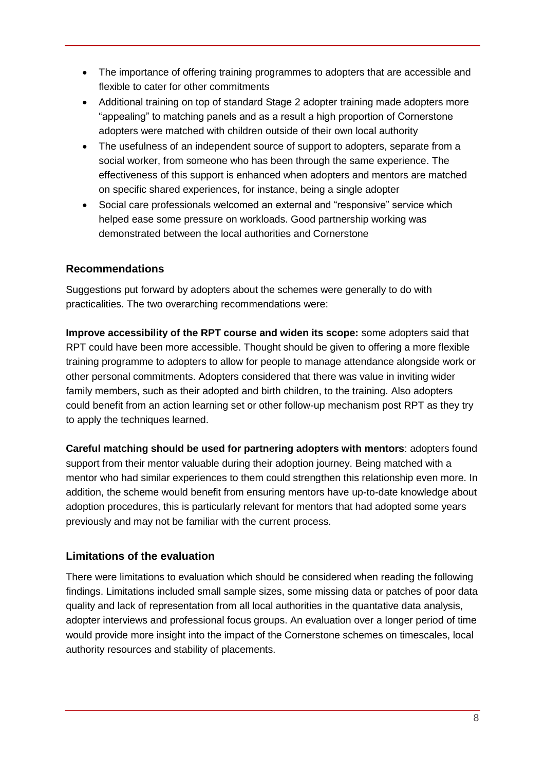- The importance of offering training programmes to adopters that are accessible and flexible to cater for other commitments
- Additional training on top of standard Stage 2 adopter training made adopters more "appealing" to matching panels and as a result a high proportion of Cornerstone adopters were matched with children outside of their own local authority
- The usefulness of an independent source of support to adopters, separate from a social worker, from someone who has been through the same experience. The effectiveness of this support is enhanced when adopters and mentors are matched on specific shared experiences, for instance, being a single adopter
- Social care professionals welcomed an external and "responsive" service which helped ease some pressure on workloads. Good partnership working was demonstrated between the local authorities and Cornerstone

## <span id="page-7-0"></span>**Recommendations**

Suggestions put forward by adopters about the schemes were generally to do with practicalities. The two overarching recommendations were:

**Improve accessibility of the RPT course and widen its scope:** some adopters said that RPT could have been more accessible. Thought should be given to offering a more flexible training programme to adopters to allow for people to manage attendance alongside work or other personal commitments. Adopters considered that there was value in inviting wider family members, such as their adopted and birth children, to the training. Also adopters could benefit from an action learning set or other follow-up mechanism post RPT as they try to apply the techniques learned.

**Careful matching should be used for partnering adopters with mentors**: adopters found support from their mentor valuable during their adoption journey. Being matched with a mentor who had similar experiences to them could strengthen this relationship even more. In addition, the scheme would benefit from ensuring mentors have up-to-date knowledge about adoption procedures, this is particularly relevant for mentors that had adopted some years previously and may not be familiar with the current process.

## <span id="page-7-1"></span>**Limitations of the evaluation**

There were limitations to evaluation which should be considered when reading the following findings. Limitations included small sample sizes, some missing data or patches of poor data quality and lack of representation from all local authorities in the quantative data analysis, adopter interviews and professional focus groups. An evaluation over a longer period of time would provide more insight into the impact of the Cornerstone schemes on timescales, local authority resources and stability of placements.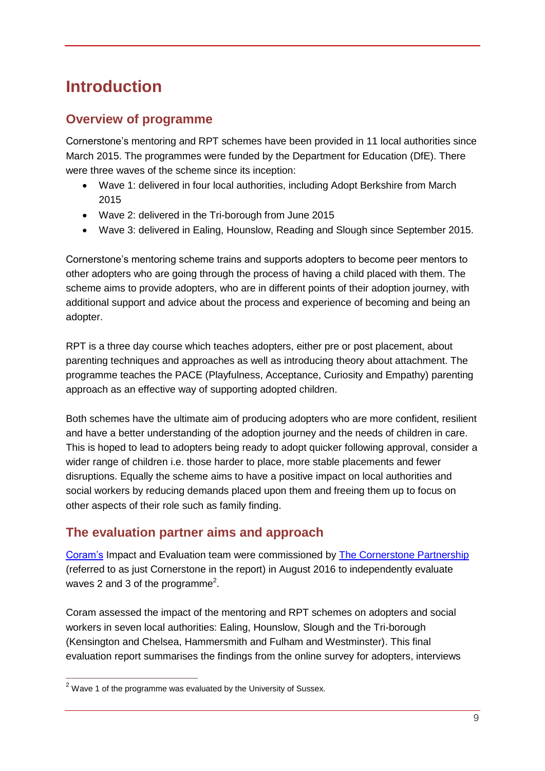# <span id="page-8-0"></span>**Introduction**

## <span id="page-8-1"></span>**Overview of programme**

Cornerstone's mentoring and RPT schemes have been provided in 11 local authorities since March 2015. The programmes were funded by the Department for Education (DfE). There were three waves of the scheme since its inception:

- Wave 1: delivered in four local authorities, including Adopt Berkshire from March 2015
- Wave 2: delivered in the Tri-borough from June 2015
- Wave 3: delivered in Ealing, Hounslow, Reading and Slough since September 2015.

Cornerstone's mentoring scheme trains and supports adopters to become peer mentors to other adopters who are going through the process of having a child placed with them. The scheme aims to provide adopters, who are in different points of their adoption journey, with additional support and advice about the process and experience of becoming and being an adopter.

RPT is a three day course which teaches adopters, either pre or post placement, about parenting techniques and approaches as well as introducing theory about attachment. The programme teaches the PACE (Playfulness, Acceptance, Curiosity and Empathy) parenting approach as an effective way of supporting adopted children.

Both schemes have the ultimate aim of producing adopters who are more confident, resilient and have a better understanding of the adoption journey and the needs of children in care. This is hoped to lead to adopters being ready to adopt quicker following approval, consider a wider range of children i.e. those harder to place, more stable placements and fewer disruptions. Equally the scheme aims to have a positive impact on local authorities and social workers by reducing demands placed upon them and freeing them up to focus on other aspects of their role such as family finding.

# <span id="page-8-2"></span>**The evaluation partner aims and approach**

[Coram's](http://www.coram.org.uk/) Impact and Evaluation team were commissioned by [The Cornerstone Partnership](http://www.thecornerstonepartnership.com/) (referred to as just Cornerstone in the report) in August 2016 to independently evaluate waves 2 and 3 of the programme<sup>2</sup>.

Coram assessed the impact of the mentoring and RPT schemes on adopters and social workers in seven local authorities: Ealing, Hounslow, Slough and the Tri-borough (Kensington and Chelsea, Hammersmith and Fulham and Westminster). This final evaluation report summarises the findings from the online survey for adopters, interviews

 $\overline{a}$ 

 $2$  Wave 1 of the programme was evaluated by the University of Sussex.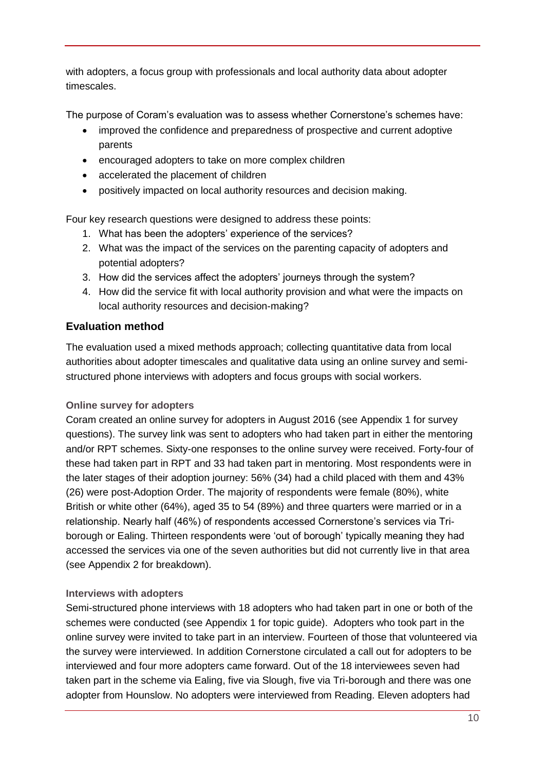with adopters, a focus group with professionals and local authority data about adopter timescales.

The purpose of Coram's evaluation was to assess whether Cornerstone's schemes have:

- improved the confidence and preparedness of prospective and current adoptive parents
- encouraged adopters to take on more complex children
- accelerated the placement of children
- positively impacted on local authority resources and decision making.

Four key research questions were designed to address these points:

- 1. What has been the adopters' experience of the services?
- 2. What was the impact of the services on the parenting capacity of adopters and potential adopters?
- 3. How did the services affect the adopters' journeys through the system?
- 4. How did the service fit with local authority provision and what were the impacts on local authority resources and decision-making?

## <span id="page-9-0"></span>**Evaluation method**

The evaluation used a mixed methods approach; collecting quantitative data from local authorities about adopter timescales and qualitative data using an online survey and semistructured phone interviews with adopters and focus groups with social workers.

## **Online survey for adopters**

Coram created an online survey for adopters in August 2016 (see Appendix 1 for survey questions). The survey link was sent to adopters who had taken part in either the mentoring and/or RPT schemes. Sixty-one responses to the online survey were received. Forty-four of these had taken part in RPT and 33 had taken part in mentoring. Most respondents were in the later stages of their adoption journey: 56% (34) had a child placed with them and 43% (26) were post-Adoption Order. The majority of respondents were female (80%), white British or white other (64%), aged 35 to 54 (89%) and three quarters were married or in a relationship. Nearly half (46%) of respondents accessed Cornerstone's services via Triborough or Ealing. Thirteen respondents were 'out of borough' typically meaning they had accessed the services via one of the seven authorities but did not currently live in that area (see Appendix 2 for breakdown).

## **Interviews with adopters**

Semi-structured phone interviews with 18 adopters who had taken part in one or both of the schemes were conducted (see Appendix 1 for topic guide). Adopters who took part in the online survey were invited to take part in an interview. Fourteen of those that volunteered via the survey were interviewed. In addition Cornerstone circulated a call out for adopters to be interviewed and four more adopters came forward. Out of the 18 interviewees seven had taken part in the scheme via Ealing, five via Slough, five via Tri-borough and there was one adopter from Hounslow. No adopters were interviewed from Reading. Eleven adopters had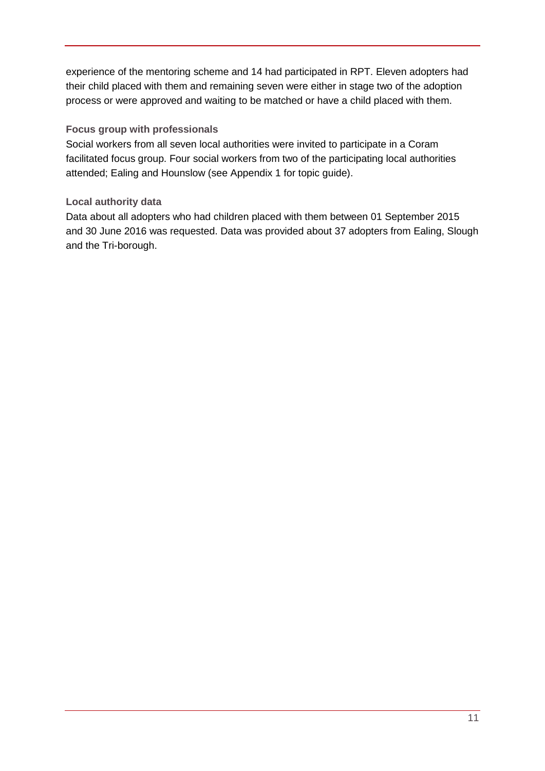experience of the mentoring scheme and 14 had participated in RPT. Eleven adopters had their child placed with them and remaining seven were either in stage two of the adoption process or were approved and waiting to be matched or have a child placed with them.

#### **Focus group with professionals**

Social workers from all seven local authorities were invited to participate in a Coram facilitated focus group. Four social workers from two of the participating local authorities attended; Ealing and Hounslow (see Appendix 1 for topic guide).

## **Local authority data**

Data about all adopters who had children placed with them between 01 September 2015 and 30 June 2016 was requested. Data was provided about 37 adopters from Ealing, Slough and the Tri-borough.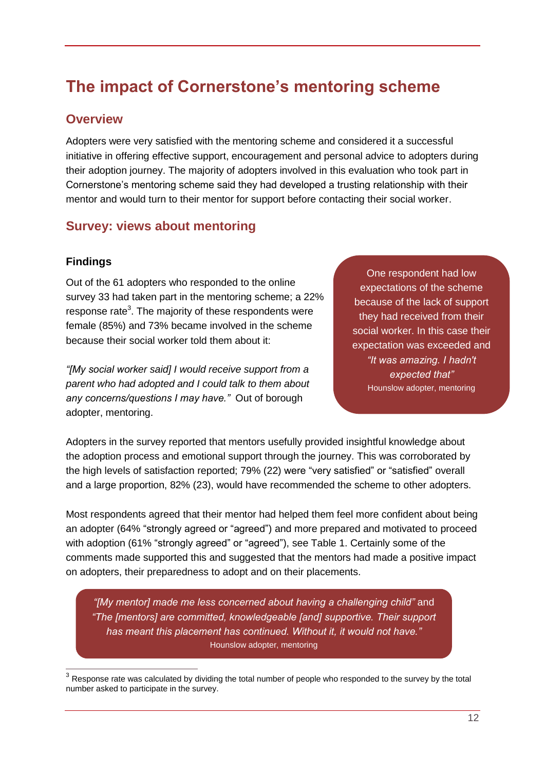# <span id="page-11-0"></span>**The impact of Cornerstone's mentoring scheme**

## <span id="page-11-1"></span>**Overview**

Adopters were very satisfied with the mentoring scheme and considered it a successful initiative in offering effective support, encouragement and personal advice to adopters during their adoption journey. The majority of adopters involved in this evaluation who took part in Cornerstone's mentoring scheme said they had developed a trusting relationship with their mentor and would turn to their mentor for support before contacting their social worker.

## <span id="page-11-2"></span>**Survey: views about mentoring**

#### <span id="page-11-3"></span>**Findings**

Out of the 61 adopters who responded to the online survey 33 had taken part in the mentoring scheme; a 22% response rate<sup>3</sup>. The majority of these respondents were female (85%) and 73% became involved in the scheme because their social worker told them about it:

*"[My social worker said] I would receive support from a parent who had adopted and I could talk to them about any concerns/questions I may have."* Out of borough adopter, mentoring.

One respondent had low expectations of the scheme because of the lack of support they had received from their social worker. In this case their expectation was exceeded and *"It was amazing. I hadn't expected that"* Hounslow adopter, mentoring

Adopters in the survey reported that mentors usefully provided insightful knowledge about the adoption process and emotional support through the journey. This was corroborated by the high levels of satisfaction reported; 79% (22) were "very satisfied" or "satisfied" overall and a large proportion, 82% (23), would have recommended the scheme to other adopters.

Most respondents agreed that their mentor had helped them feel more confident about being an adopter (64% "strongly agreed or "agreed") and more prepared and motivated to proceed with adoption (61% "strongly agreed" or "agreed"), see Table 1. Certainly some of the comments made supported this and suggested that the mentors had made a positive impact on adopters, their preparedness to adopt and on their placements.

*"[My mentor] made me less concerned about having a challenging child"* and *"The [mentors] are committed, knowledgeable [and] supportive. Their support has meant this placement has continued. Without it, it would not have."* Hounslow adopter, mentoring

 3 Response rate was calculated by dividing the total number of people who responded to the survey by the total number asked to participate in the survey.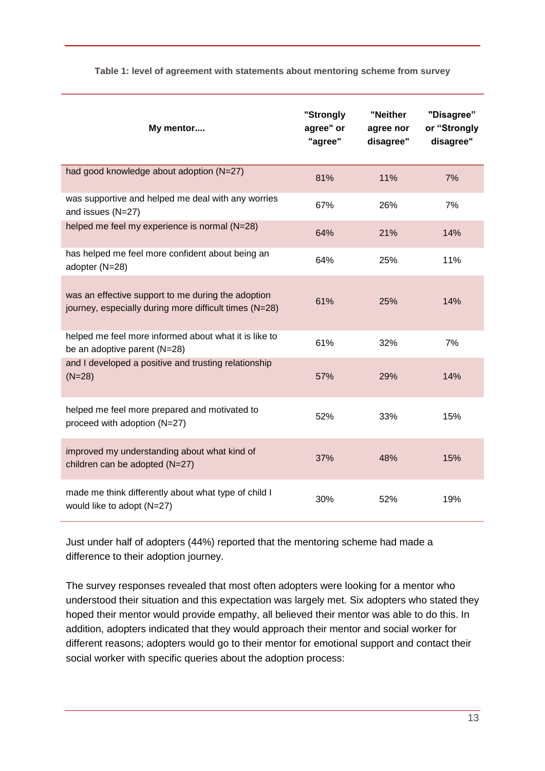| My mentor                                                                                                    | "Strongly<br>agree" or<br>"agree" | "Neither<br>agree nor<br>disagree" | "Disagree"<br>or "Strongly<br>disagree" |
|--------------------------------------------------------------------------------------------------------------|-----------------------------------|------------------------------------|-----------------------------------------|
| had good knowledge about adoption (N=27)                                                                     | 81%                               | 11%                                | 7%                                      |
| was supportive and helped me deal with any worries<br>and issues (N=27)                                      | 67%                               | 26%                                | 7%                                      |
| helped me feel my experience is normal (N=28)                                                                | 64%                               | 21%                                | 14%                                     |
| has helped me feel more confident about being an<br>adopter (N=28)                                           | 64%                               | 25%                                | 11%                                     |
| was an effective support to me during the adoption<br>journey, especially during more difficult times (N=28) | 61%                               | 25%                                | 14%                                     |
| helped me feel more informed about what it is like to<br>be an adoptive parent (N=28)                        | 61%                               | 32%                                | 7%                                      |
| and I developed a positive and trusting relationship<br>$(N=28)$                                             | 57%                               | 29%                                | 14%                                     |
| helped me feel more prepared and motivated to<br>proceed with adoption (N=27)                                | 52%                               | 33%                                | 15%                                     |
| improved my understanding about what kind of<br>children can be adopted (N=27)                               | 37%                               | 48%                                | 15%                                     |
| made me think differently about what type of child I<br>would like to adopt (N=27)                           | 30%                               | 52%                                | 19%                                     |

#### <span id="page-12-0"></span>**Table 1: level of agreement with statements about mentoring scheme from survey**

Just under half of adopters (44%) reported that the mentoring scheme had made a difference to their adoption journey.

The survey responses revealed that most often adopters were looking for a mentor who understood their situation and this expectation was largely met. Six adopters who stated they hoped their mentor would provide empathy, all believed their mentor was able to do this. In addition, adopters indicated that they would approach their mentor and social worker for different reasons; adopters would go to their mentor for emotional support and contact their social worker with specific queries about the adoption process: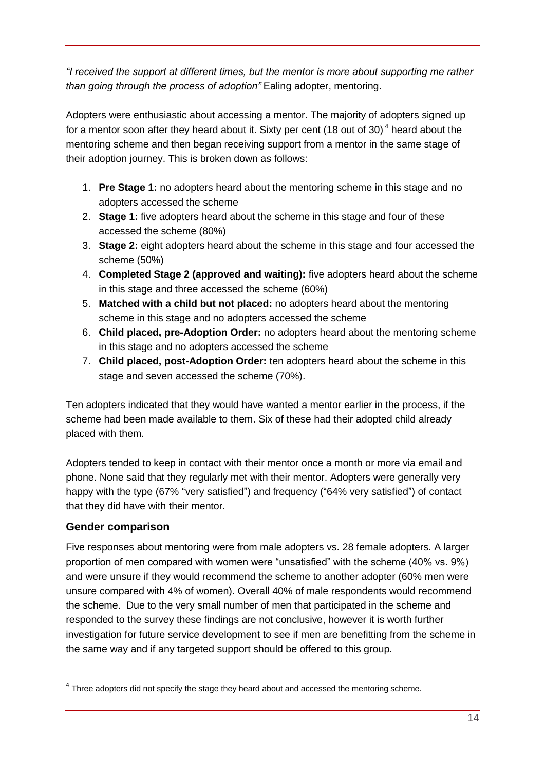*"I received the support at different times, but the mentor is more about supporting me rather than going through the process of adoption"* Ealing adopter, mentoring.

Adopters were enthusiastic about accessing a mentor. The majority of adopters signed up for a mentor soon after they heard about it. Sixty per cent (18 out of 30)<sup>4</sup> heard about the mentoring scheme and then began receiving support from a mentor in the same stage of their adoption journey. This is broken down as follows:

- 1. **Pre Stage 1:** no adopters heard about the mentoring scheme in this stage and no adopters accessed the scheme
- 2. **Stage 1:** five adopters heard about the scheme in this stage and four of these accessed the scheme (80%)
- 3. **Stage 2:** eight adopters heard about the scheme in this stage and four accessed the scheme (50%)
- 4. **Completed Stage 2 (approved and waiting):** five adopters heard about the scheme in this stage and three accessed the scheme (60%)
- 5. **Matched with a child but not placed:** no adopters heard about the mentoring scheme in this stage and no adopters accessed the scheme
- 6. **Child placed, pre-Adoption Order:** no adopters heard about the mentoring scheme in this stage and no adopters accessed the scheme
- 7. **Child placed, post-Adoption Order:** ten adopters heard about the scheme in this stage and seven accessed the scheme (70%).

Ten adopters indicated that they would have wanted a mentor earlier in the process, if the scheme had been made available to them. Six of these had their adopted child already placed with them.

Adopters tended to keep in contact with their mentor once a month or more via email and phone. None said that they regularly met with their mentor. Adopters were generally very happy with the type (67% "very satisfied") and frequency ("64% very satisfied") of contact that they did have with their mentor.

## <span id="page-13-0"></span>**Gender comparison**

Five responses about mentoring were from male adopters vs. 28 female adopters. A larger proportion of men compared with women were "unsatisfied" with the scheme (40% vs. 9%) and were unsure if they would recommend the scheme to another adopter (60% men were unsure compared with 4% of women). Overall 40% of male respondents would recommend the scheme. Due to the very small number of men that participated in the scheme and responded to the survey these findings are not conclusive, however it is worth further investigation for future service development to see if men are benefitting from the scheme in the same way and if any targeted support should be offered to this group.

 $\overline{a}$  $4$  Three adopters did not specify the stage they heard about and accessed the mentoring scheme.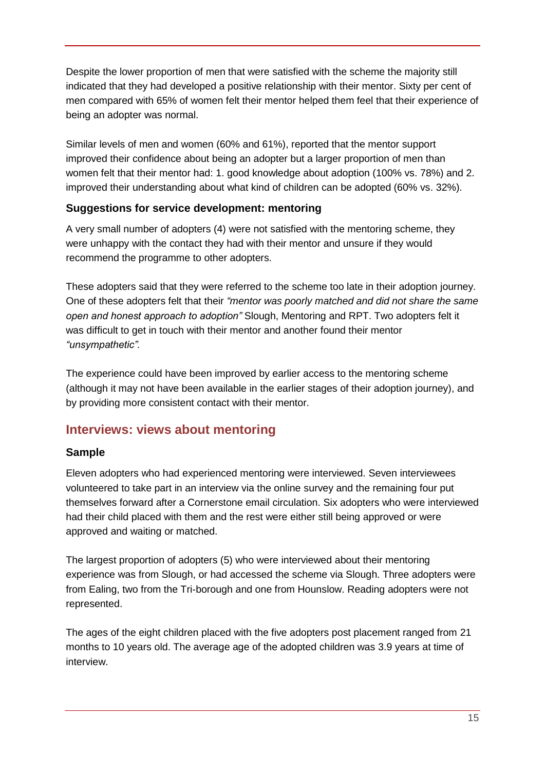Despite the lower proportion of men that were satisfied with the scheme the majority still indicated that they had developed a positive relationship with their mentor. Sixty per cent of men compared with 65% of women felt their mentor helped them feel that their experience of being an adopter was normal.

Similar levels of men and women (60% and 61%), reported that the mentor support improved their confidence about being an adopter but a larger proportion of men than women felt that their mentor had: 1. good knowledge about adoption (100% vs. 78%) and 2. improved their understanding about what kind of children can be adopted (60% vs. 32%).

## <span id="page-14-0"></span>**Suggestions for service development: mentoring**

A very small number of adopters (4) were not satisfied with the mentoring scheme, they were unhappy with the contact they had with their mentor and unsure if they would recommend the programme to other adopters.

These adopters said that they were referred to the scheme too late in their adoption journey. One of these adopters felt that their *"mentor was poorly matched and did not share the same open and honest approach to adoption"* Slough, Mentoring and RPT. Two adopters felt it was difficult to get in touch with their mentor and another found their mentor *"unsympathetic".* 

The experience could have been improved by earlier access to the mentoring scheme (although it may not have been available in the earlier stages of their adoption journey), and by providing more consistent contact with their mentor.

# <span id="page-14-1"></span>**Interviews: views about mentoring**

## <span id="page-14-2"></span>**Sample**

Eleven adopters who had experienced mentoring were interviewed. Seven interviewees volunteered to take part in an interview via the online survey and the remaining four put themselves forward after a Cornerstone email circulation. Six adopters who were interviewed had their child placed with them and the rest were either still being approved or were approved and waiting or matched.

The largest proportion of adopters (5) who were interviewed about their mentoring experience was from Slough, or had accessed the scheme via Slough. Three adopters were from Ealing, two from the Tri-borough and one from Hounslow. Reading adopters were not represented.

The ages of the eight children placed with the five adopters post placement ranged from 21 months to 10 years old. The average age of the adopted children was 3.9 years at time of interview.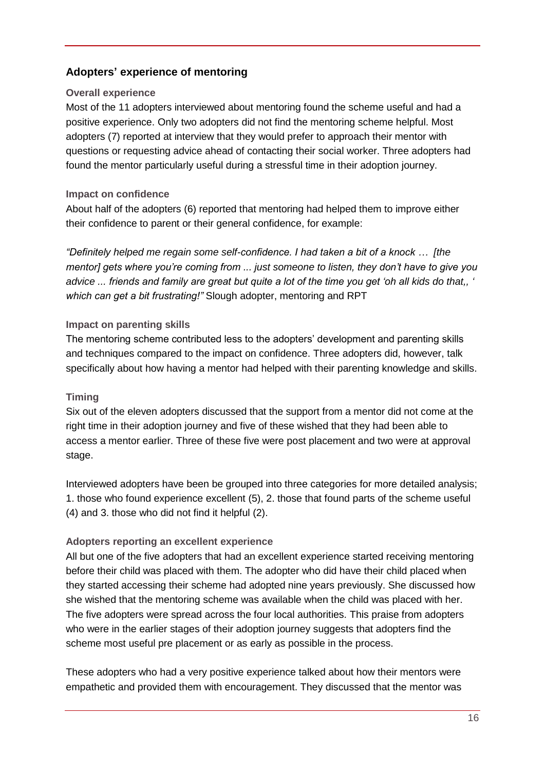## <span id="page-15-0"></span>**Adopters' experience of mentoring**

#### **Overall experience**

Most of the 11 adopters interviewed about mentoring found the scheme useful and had a positive experience. Only two adopters did not find the mentoring scheme helpful. Most adopters (7) reported at interview that they would prefer to approach their mentor with questions or requesting advice ahead of contacting their social worker. Three adopters had found the mentor particularly useful during a stressful time in their adoption journey.

#### **Impact on confidence**

About half of the adopters (6) reported that mentoring had helped them to improve either their confidence to parent or their general confidence, for example:

*"Definitely helped me regain some self-confidence. I had taken a bit of a knock … [the mentor] gets where you're coming from ... just someone to listen, they don't have to give you advice ... friends and family are great but quite a lot of the time you get 'oh all kids do that,, ' which can get a bit frustrating!"* Slough adopter, mentoring and RPT

#### **Impact on parenting skills**

The mentoring scheme contributed less to the adopters' development and parenting skills and techniques compared to the impact on confidence. Three adopters did, however, talk specifically about how having a mentor had helped with their parenting knowledge and skills.

#### **Timing**

Six out of the eleven adopters discussed that the support from a mentor did not come at the right time in their adoption journey and five of these wished that they had been able to access a mentor earlier. Three of these five were post placement and two were at approval stage.

Interviewed adopters have been be grouped into three categories for more detailed analysis; 1. those who found experience excellent (5), 2. those that found parts of the scheme useful (4) and 3. those who did not find it helpful (2).

#### **Adopters reporting an excellent experience**

All but one of the five adopters that had an excellent experience started receiving mentoring before their child was placed with them. The adopter who did have their child placed when they started accessing their scheme had adopted nine years previously. She discussed how she wished that the mentoring scheme was available when the child was placed with her. The five adopters were spread across the four local authorities. This praise from adopters who were in the earlier stages of their adoption journey suggests that adopters find the scheme most useful pre placement or as early as possible in the process.

These adopters who had a very positive experience talked about how their mentors were empathetic and provided them with encouragement. They discussed that the mentor was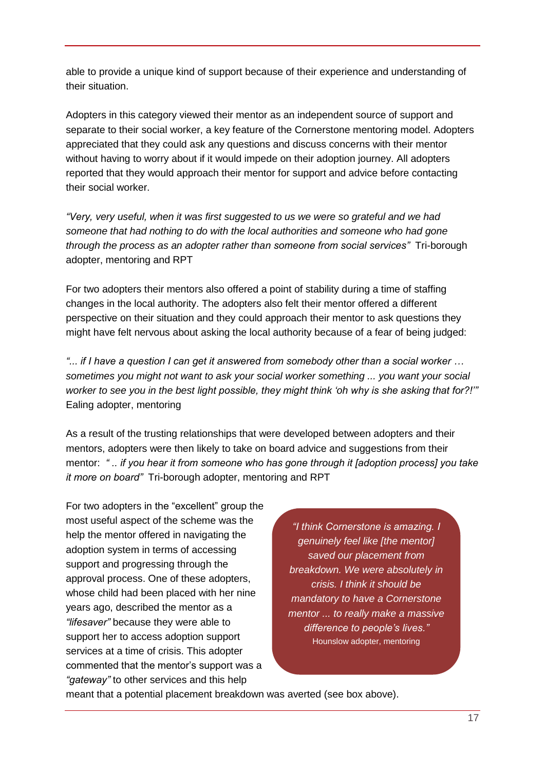able to provide a unique kind of support because of their experience and understanding of their situation.

Adopters in this category viewed their mentor as an independent source of support and separate to their social worker, a key feature of the Cornerstone mentoring model. Adopters appreciated that they could ask any questions and discuss concerns with their mentor without having to worry about if it would impede on their adoption journey. All adopters reported that they would approach their mentor for support and advice before contacting their social worker.

*"Very, very useful, when it was first suggested to us we were so grateful and we had someone that had nothing to do with the local authorities and someone who had gone through the process as an adopter rather than someone from social services"* Tri-borough adopter, mentoring and RPT

For two adopters their mentors also offered a point of stability during a time of staffing changes in the local authority. The adopters also felt their mentor offered a different perspective on their situation and they could approach their mentor to ask questions they might have felt nervous about asking the local authority because of a fear of being judged:

*"... if I have a question I can get it answered from somebody other than a social worker … sometimes you might not want to ask your social worker something ... you want your social worker to see you in the best light possible, they might think 'oh why is she asking that for?!'"*  Ealing adopter, mentoring

As a result of the trusting relationships that were developed between adopters and their mentors, adopters were then likely to take on board advice and suggestions from their mentor: *" .. if you hear it from someone who has gone through it [adoption process] you take it more on board"* Tri-borough adopter, mentoring and RPT

For two adopters in the "excellent" group the most useful aspect of the scheme was the help the mentor offered in navigating the adoption system in terms of accessing support and progressing through the approval process. One of these adopters, whose child had been placed with her nine years ago, described the mentor as a *"lifesaver"* because they were able to support her to access adoption support services at a time of crisis. This adopter commented that the mentor's support was a *"gateway"* to other services and this help

*"I think Cornerstone is amazing. I genuinely feel like [the mentor] saved our placement from breakdown. We were absolutely in crisis. I think it should be mandatory to have a Cornerstone mentor ... to really make a massive difference to people's lives."*  Hounslow adopter, mentoring

meant that a potential placement breakdown was averted (see box above).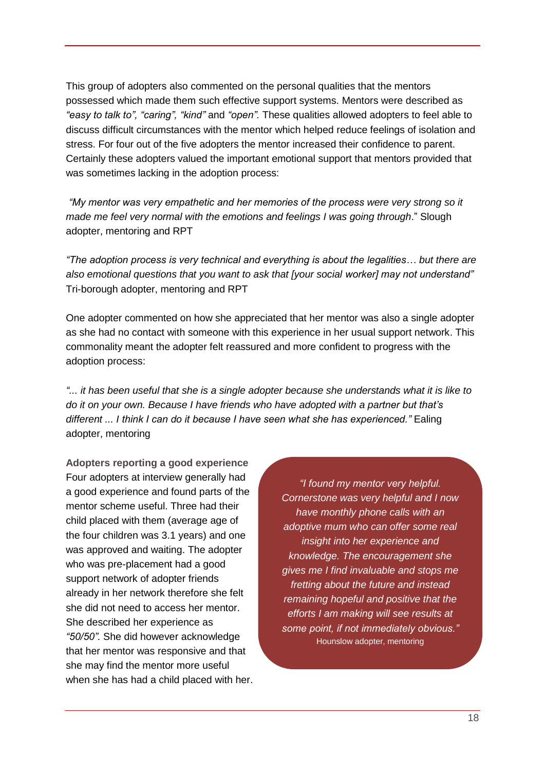This group of adopters also commented on the personal qualities that the mentors possessed which made them such effective support systems. Mentors were described as *"easy to talk to", "caring", "kind"* and *"open".* These qualities allowed adopters to feel able to discuss difficult circumstances with the mentor which helped reduce feelings of isolation and stress. For four out of the five adopters the mentor increased their confidence to parent. Certainly these adopters valued the important emotional support that mentors provided that was sometimes lacking in the adoption process:

*"My mentor was very empathetic and her memories of the process were very strong so it made me feel very normal with the emotions and feelings I was going through*." Slough adopter, mentoring and RPT

*"The adoption process is very technical and everything is about the legalities… but there are also emotional questions that you want to ask that [your social worker] may not understand"*  Tri-borough adopter, mentoring and RPT

One adopter commented on how she appreciated that her mentor was also a single adopter as she had no contact with someone with this experience in her usual support network. This commonality meant the adopter felt reassured and more confident to progress with the adoption process:

*"... it has been useful that she is a single adopter because she understands what it is like to do it on your own. Because I have friends who have adopted with a partner but that's different ... I think I can do it because I have seen what she has experienced."* Ealing adopter, mentoring

**Adopters reporting a good experience** Four adopters at interview generally had a good experience and found parts of the mentor scheme useful. Three had their child placed with them (average age of the four children was 3.1 years) and one was approved and waiting. The adopter who was pre-placement had a good support network of adopter friends already in her network therefore she felt she did not need to access her mentor. She described her experience as *"50/50".* She did however acknowledge that her mentor was responsive and that she may find the mentor more useful when she has had a child placed with her.

*"I found my mentor very helpful. Cornerstone was very helpful and I now have monthly phone calls with an adoptive mum who can offer some real insight into her experience and knowledge. The encouragement she gives me I find invaluable and stops me fretting about the future and instead remaining hopeful and positive that the efforts I am making will see results at some point, if not immediately obvious."* Hounslow adopter, mentoring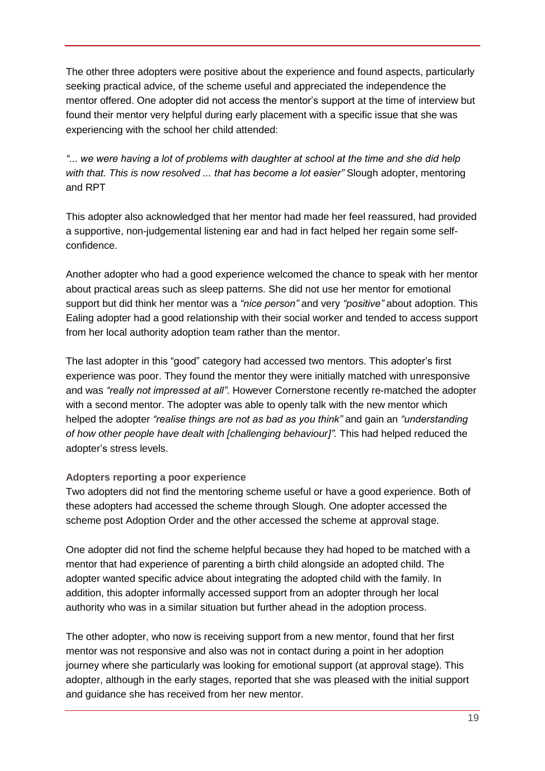The other three adopters were positive about the experience and found aspects, particularly seeking practical advice, of the scheme useful and appreciated the independence the mentor offered. One adopter did not access the mentor's support at the time of interview but found their mentor very helpful during early placement with a specific issue that she was experiencing with the school her child attended:

*"... we were having a lot of problems with daughter at school at the time and she did help with that. This is now resolved ... that has become a lot easier"* Slough adopter, mentoring and RPT

This adopter also acknowledged that her mentor had made her feel reassured, had provided a supportive, non-judgemental listening ear and had in fact helped her regain some selfconfidence.

Another adopter who had a good experience welcomed the chance to speak with her mentor about practical areas such as sleep patterns. She did not use her mentor for emotional support but did think her mentor was a *"nice person"* and very *"positive"* about adoption. This Ealing adopter had a good relationship with their social worker and tended to access support from her local authority adoption team rather than the mentor.

The last adopter in this "good" category had accessed two mentors. This adopter's first experience was poor. They found the mentor they were initially matched with unresponsive and was *"really not impressed at all"*. However Cornerstone recently re-matched the adopter with a second mentor. The adopter was able to openly talk with the new mentor which helped the adopter *"realise things are not as bad as you think"* and gain an *"understanding of how other people have dealt with [challenging behaviour]".* This had helped reduced the adopter's stress levels.

#### **Adopters reporting a poor experience**

Two adopters did not find the mentoring scheme useful or have a good experience. Both of these adopters had accessed the scheme through Slough. One adopter accessed the scheme post Adoption Order and the other accessed the scheme at approval stage.

One adopter did not find the scheme helpful because they had hoped to be matched with a mentor that had experience of parenting a birth child alongside an adopted child. The adopter wanted specific advice about integrating the adopted child with the family. In addition, this adopter informally accessed support from an adopter through her local authority who was in a similar situation but further ahead in the adoption process.

The other adopter, who now is receiving support from a new mentor, found that her first mentor was not responsive and also was not in contact during a point in her adoption journey where she particularly was looking for emotional support (at approval stage). This adopter, although in the early stages, reported that she was pleased with the initial support and guidance she has received from her new mentor.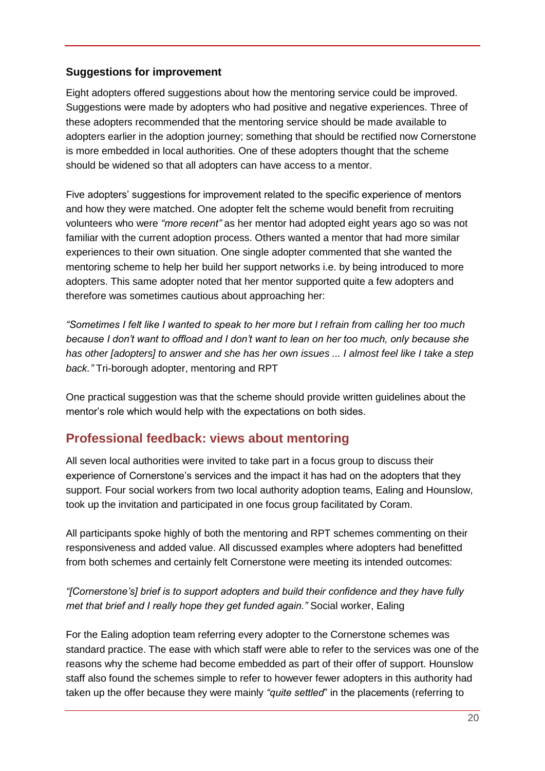## <span id="page-19-0"></span>**Suggestions for improvement**

Eight adopters offered suggestions about how the mentoring service could be improved. Suggestions were made by adopters who had positive and negative experiences. Three of these adopters recommended that the mentoring service should be made available to adopters earlier in the adoption journey; something that should be rectified now Cornerstone is more embedded in local authorities. One of these adopters thought that the scheme should be widened so that all adopters can have access to a mentor.

Five adopters' suggestions for improvement related to the specific experience of mentors and how they were matched. One adopter felt the scheme would benefit from recruiting volunteers who were *"more recent"* as her mentor had adopted eight years ago so was not familiar with the current adoption process. Others wanted a mentor that had more similar experiences to their own situation. One single adopter commented that she wanted the mentoring scheme to help her build her support networks i.e. by being introduced to more adopters. This same adopter noted that her mentor supported quite a few adopters and therefore was sometimes cautious about approaching her:

*"Sometimes I felt like I wanted to speak to her more but I refrain from calling her too much because I don't want to offload and I don't want to lean on her too much, only because she has other [adopters] to answer and she has her own issues ... I almost feel like I take a step back."* Tri-borough adopter, mentoring and RPT

One practical suggestion was that the scheme should provide written guidelines about the mentor's role which would help with the expectations on both sides.

## <span id="page-19-1"></span>**Professional feedback: views about mentoring**

All seven local authorities were invited to take part in a focus group to discuss their experience of Cornerstone's services and the impact it has had on the adopters that they support. Four social workers from two local authority adoption teams, Ealing and Hounslow, took up the invitation and participated in one focus group facilitated by Coram.

All participants spoke highly of both the mentoring and RPT schemes commenting on their responsiveness and added value. All discussed examples where adopters had benefitted from both schemes and certainly felt Cornerstone were meeting its intended outcomes:

## *"[Cornerstone's] brief is to support adopters and build their confidence and they have fully met that brief and I really hope they get funded again."* Social worker, Ealing

For the Ealing adoption team referring every adopter to the Cornerstone schemes was standard practice. The ease with which staff were able to refer to the services was one of the reasons why the scheme had become embedded as part of their offer of support. Hounslow staff also found the schemes simple to refer to however fewer adopters in this authority had taken up the offer because they were mainly *"quite settled*" in the placements (referring to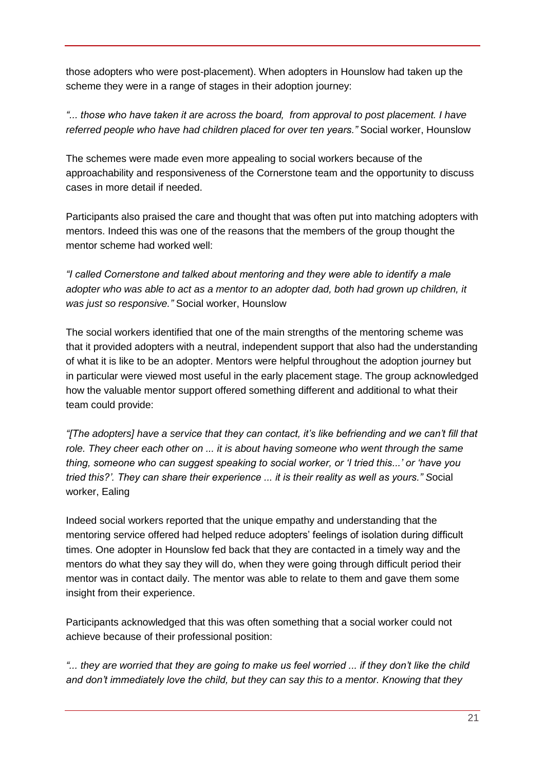those adopters who were post-placement). When adopters in Hounslow had taken up the scheme they were in a range of stages in their adoption journey:

*"... those who have taken it are across the board, from approval to post placement. I have referred people who have had children placed for over ten years."* Social worker, Hounslow

The schemes were made even more appealing to social workers because of the approachability and responsiveness of the Cornerstone team and the opportunity to discuss cases in more detail if needed.

Participants also praised the care and thought that was often put into matching adopters with mentors. Indeed this was one of the reasons that the members of the group thought the mentor scheme had worked well:

*"I called Cornerstone and talked about mentoring and they were able to identify a male*  adopter who was able to act as a mentor to an adopter dad, both had grown up children, it *was just so responsive."* Social worker, Hounslow

The social workers identified that one of the main strengths of the mentoring scheme was that it provided adopters with a neutral, independent support that also had the understanding of what it is like to be an adopter. Mentors were helpful throughout the adoption journey but in particular were viewed most useful in the early placement stage. The group acknowledged how the valuable mentor support offered something different and additional to what their team could provide:

*"[The adopters] have a service that they can contact, it's like befriending and we can't fill that role. They cheer each other on ... it is about having someone who went through the same thing, someone who can suggest speaking to social worker, or 'I tried this...' or 'have you tried this?'. They can share their experience ... it is their reality as well as yours." S*ocial worker, Ealing

Indeed social workers reported that the unique empathy and understanding that the mentoring service offered had helped reduce adopters' feelings of isolation during difficult times. One adopter in Hounslow fed back that they are contacted in a timely way and the mentors do what they say they will do, when they were going through difficult period their mentor was in contact daily. The mentor was able to relate to them and gave them some insight from their experience.

Participants acknowledged that this was often something that a social worker could not achieve because of their professional position:

"... they are worried that they are going to make us feel worried ... if they don't like the child *and don't immediately love the child, but they can say this to a mentor. Knowing that they*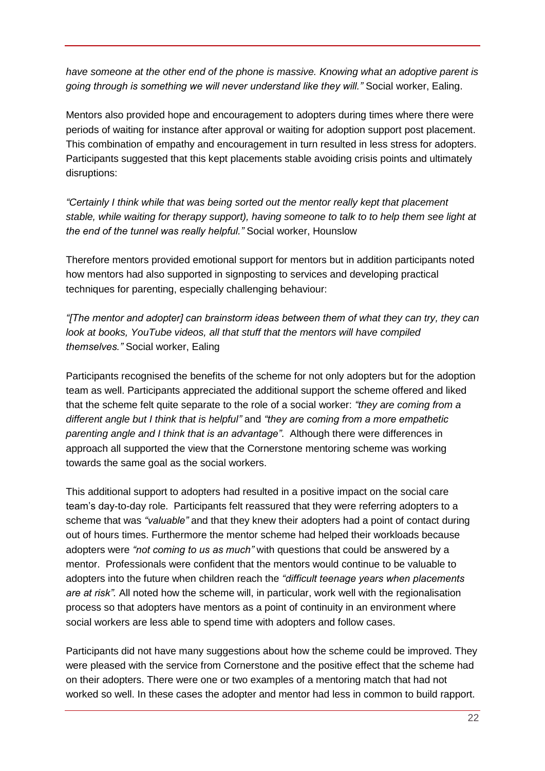*have someone at the other end of the phone is massive. Knowing what an adoptive parent is going through is something we will never understand like they will."* Social worker, Ealing.

Mentors also provided hope and encouragement to adopters during times where there were periods of waiting for instance after approval or waiting for adoption support post placement. This combination of empathy and encouragement in turn resulted in less stress for adopters. Participants suggested that this kept placements stable avoiding crisis points and ultimately disruptions:

*"Certainly I think while that was being sorted out the mentor really kept that placement stable, while waiting for therapy support), having someone to talk to to help them see light at the end of the tunnel was really helpful."* Social worker, Hounslow

Therefore mentors provided emotional support for mentors but in addition participants noted how mentors had also supported in signposting to services and developing practical techniques for parenting, especially challenging behaviour:

*"[The mentor and adopter] can brainstorm ideas between them of what they can try, they can look at books, YouTube videos, all that stuff that the mentors will have compiled themselves."* Social worker, Ealing

Participants recognised the benefits of the scheme for not only adopters but for the adoption team as well. Participants appreciated the additional support the scheme offered and liked that the scheme felt quite separate to the role of a social worker: *"they are coming from a different angle but I think that is helpful"* and *"they are coming from a more empathetic parenting angle and I think that is an advantage"*. Although there were differences in approach all supported the view that the Cornerstone mentoring scheme was working towards the same goal as the social workers.

This additional support to adopters had resulted in a positive impact on the social care team's day-to-day role. Participants felt reassured that they were referring adopters to a scheme that was *"valuable"* and that they knew their adopters had a point of contact during out of hours times. Furthermore the mentor scheme had helped their workloads because adopters were *"not coming to us as much"* with questions that could be answered by a mentor. Professionals were confident that the mentors would continue to be valuable to adopters into the future when children reach the *"difficult teenage years when placements are at risk".* All noted how the scheme will, in particular, work well with the regionalisation process so that adopters have mentors as a point of continuity in an environment where social workers are less able to spend time with adopters and follow cases.

Participants did not have many suggestions about how the scheme could be improved. They were pleased with the service from Cornerstone and the positive effect that the scheme had on their adopters. There were one or two examples of a mentoring match that had not worked so well. In these cases the adopter and mentor had less in common to build rapport.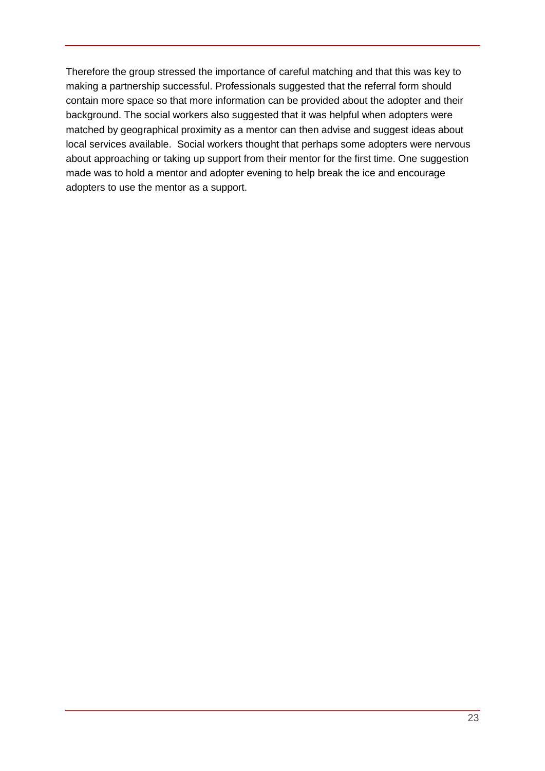Therefore the group stressed the importance of careful matching and that this was key to making a partnership successful. Professionals suggested that the referral form should contain more space so that more information can be provided about the adopter and their background. The social workers also suggested that it was helpful when adopters were matched by geographical proximity as a mentor can then advise and suggest ideas about local services available. Social workers thought that perhaps some adopters were nervous about approaching or taking up support from their mentor for the first time. One suggestion made was to hold a mentor and adopter evening to help break the ice and encourage adopters to use the mentor as a support.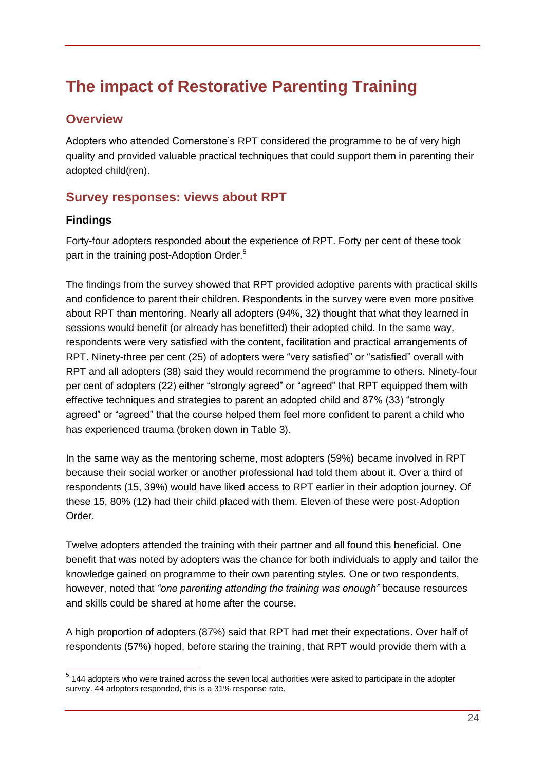# <span id="page-23-0"></span>**The impact of Restorative Parenting Training**

## <span id="page-23-1"></span>**Overview**

Adopters who attended Cornerstone's RPT considered the programme to be of very high quality and provided valuable practical techniques that could support them in parenting their adopted child(ren).

## <span id="page-23-2"></span>**Survey responses: views about RPT**

## <span id="page-23-3"></span>**Findings**

 $\overline{a}$ 

Forty-four adopters responded about the experience of RPT. Forty per cent of these took part in the training post-Adoption Order.<sup>5</sup>

The findings from the survey showed that RPT provided adoptive parents with practical skills and confidence to parent their children. Respondents in the survey were even more positive about RPT than mentoring. Nearly all adopters (94%, 32) thought that what they learned in sessions would benefit (or already has benefitted) their adopted child. In the same way, respondents were very satisfied with the content, facilitation and practical arrangements of RPT. Ninety-three per cent (25) of adopters were "very satisfied" or "satisfied" overall with RPT and all adopters (38) said they would recommend the programme to others. Ninety-four per cent of adopters (22) either "strongly agreed" or "agreed" that RPT equipped them with effective techniques and strategies to parent an adopted child and 87% (33) "strongly agreed" or "agreed" that the course helped them feel more confident to parent a child who has experienced trauma (broken down in Table 3).

In the same way as the mentoring scheme, most adopters (59%) became involved in RPT because their social worker or another professional had told them about it. Over a third of respondents (15, 39%) would have liked access to RPT earlier in their adoption journey. Of these 15, 80% (12) had their child placed with them. Eleven of these were post-Adoption Order.

Twelve adopters attended the training with their partner and all found this beneficial. One benefit that was noted by adopters was the chance for both individuals to apply and tailor the knowledge gained on programme to their own parenting styles. One or two respondents, however, noted that *"one parenting attending the training was enough"* because resources and skills could be shared at home after the course.

A high proportion of adopters (87%) said that RPT had met their expectations. Over half of respondents (57%) hoped, before staring the training, that RPT would provide them with a

 $<sup>5</sup>$  144 adopters who were trained across the seven local authorities were asked to participate in the adopter</sup> survey. 44 adopters responded, this is a 31% response rate.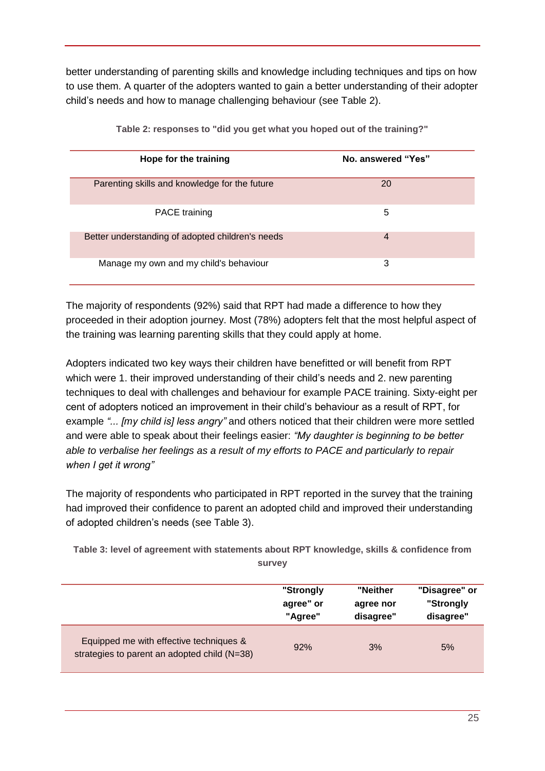better understanding of parenting skills and knowledge including techniques and tips on how to use them. A quarter of the adopters wanted to gain a better understanding of their adopter child's needs and how to manage challenging behaviour (see Table 2).

<span id="page-24-0"></span>

| Hope for the training                            | No. answered "Yes" |
|--------------------------------------------------|--------------------|
| Parenting skills and knowledge for the future    | 20                 |
| <b>PACE</b> training                             | 5                  |
| Better understanding of adopted children's needs | $\overline{4}$     |
| Manage my own and my child's behaviour           | 3                  |

**Table 2: responses to "did you get what you hoped out of the training?"**

The majority of respondents (92%) said that RPT had made a difference to how they proceeded in their adoption journey. Most (78%) adopters felt that the most helpful aspect of the training was learning parenting skills that they could apply at home.

Adopters indicated two key ways their children have benefitted or will benefit from RPT which were 1. their improved understanding of their child's needs and 2. new parenting techniques to deal with challenges and behaviour for example PACE training. Sixty-eight per cent of adopters noticed an improvement in their child's behaviour as a result of RPT, for example *"... [my child is] less angry"* and others noticed that their children were more settled and were able to speak about their feelings easier: *"My daughter is beginning to be better able to verbalise her feelings as a result of my efforts to PACE and particularly to repair when I get it wrong"*

The majority of respondents who participated in RPT reported in the survey that the training had improved their confidence to parent an adopted child and improved their understanding of adopted children's needs (see Table 3).

<span id="page-24-1"></span>**Table 3: level of agreement with statements about RPT knowledge, skills & confidence from survey**

|                                                                                         | "Strongly | "Neither  | "Disagree" or |
|-----------------------------------------------------------------------------------------|-----------|-----------|---------------|
|                                                                                         | agree" or | agree nor | "Strongly     |
|                                                                                         | "Agree"   | disagree" | disagree"     |
| Equipped me with effective techniques &<br>strategies to parent an adopted child (N=38) | 92%       | 3%        | 5%            |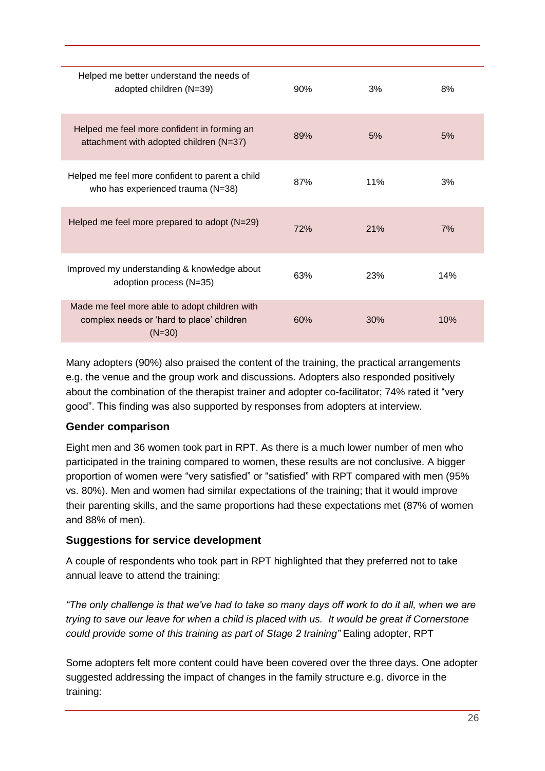| Helped me better understand the needs of<br>adopted children (N=39)                                    | 90% | 3%  | 8%  |
|--------------------------------------------------------------------------------------------------------|-----|-----|-----|
| Helped me feel more confident in forming an<br>attachment with adopted children (N=37)                 | 89% | 5%  | 5%  |
| Helped me feel more confident to parent a child<br>who has experienced trauma (N=38)                   | 87% | 11% | 3%  |
| Helped me feel more prepared to adopt $(N=29)$                                                         | 72% | 21% | 7%  |
| Improved my understanding & knowledge about<br>adoption process (N=35)                                 | 63% | 23% | 14% |
| Made me feel more able to adopt children with<br>complex needs or 'hard to place' children<br>$(N=30)$ | 60% | 30% | 10% |

Many adopters (90%) also praised the content of the training, the practical arrangements e.g. the venue and the group work and discussions. Adopters also responded positively about the combination of the therapist trainer and adopter co-facilitator; 74% rated it "very good". This finding was also supported by responses from adopters at interview.

## <span id="page-25-0"></span>**Gender comparison**

Eight men and 36 women took part in RPT. As there is a much lower number of men who participated in the training compared to women, these results are not conclusive. A bigger proportion of women were "very satisfied" or "satisfied" with RPT compared with men (95% vs. 80%). Men and women had similar expectations of the training; that it would improve their parenting skills, and the same proportions had these expectations met (87% of women and 88% of men).

## <span id="page-25-1"></span>**Suggestions for service development**

A couple of respondents who took part in RPT highlighted that they preferred not to take annual leave to attend the training:

*"The only challenge is that we've had to take so many days off work to do it all, when we are trying to save our leave for when a child is placed with us. It would be great if Cornerstone could provide some of this training as part of Stage 2 training"* Ealing adopter, RPT

Some adopters felt more content could have been covered over the three days. One adopter suggested addressing the impact of changes in the family structure e.g. divorce in the training: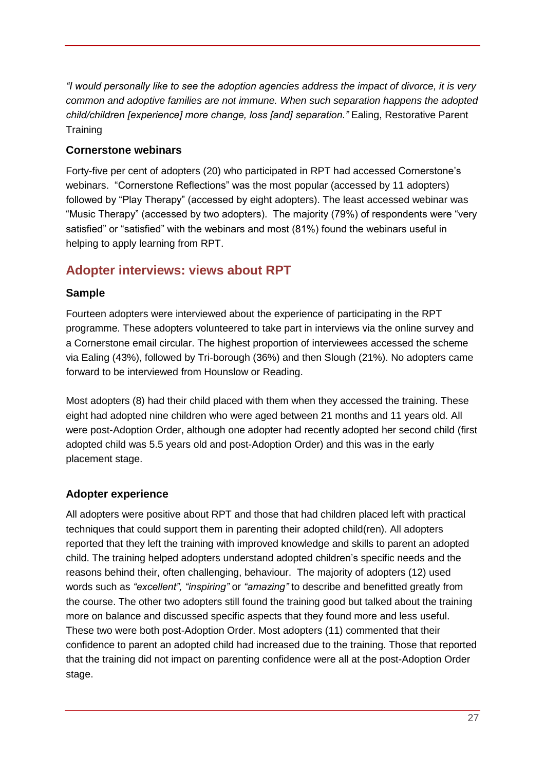*"I would personally like to see the adoption agencies address the impact of divorce, it is very common and adoptive families are not immune. When such separation happens the adopted child/children [experience] more change, loss [and] separation."* Ealing, Restorative Parent **Training** 

## <span id="page-26-0"></span>**Cornerstone webinars**

Forty-five per cent of adopters (20) who participated in RPT had accessed Cornerstone's webinars. "Cornerstone Reflections" was the most popular (accessed by 11 adopters) followed by "Play Therapy" (accessed by eight adopters). The least accessed webinar was "Music Therapy" (accessed by two adopters). The majority (79%) of respondents were "very satisfied" or "satisfied" with the webinars and most (81%) found the webinars useful in helping to apply learning from RPT.

## <span id="page-26-1"></span>**Adopter interviews: views about RPT**

## <span id="page-26-2"></span>**Sample**

Fourteen adopters were interviewed about the experience of participating in the RPT programme. These adopters volunteered to take part in interviews via the online survey and a Cornerstone email circular. The highest proportion of interviewees accessed the scheme via Ealing (43%), followed by Tri-borough (36%) and then Slough (21%). No adopters came forward to be interviewed from Hounslow or Reading.

Most adopters (8) had their child placed with them when they accessed the training. These eight had adopted nine children who were aged between 21 months and 11 years old. All were post-Adoption Order, although one adopter had recently adopted her second child (first adopted child was 5.5 years old and post-Adoption Order) and this was in the early placement stage.

## <span id="page-26-3"></span>**Adopter experience**

All adopters were positive about RPT and those that had children placed left with practical techniques that could support them in parenting their adopted child(ren). All adopters reported that they left the training with improved knowledge and skills to parent an adopted child. The training helped adopters understand adopted children's specific needs and the reasons behind their, often challenging, behaviour. The majority of adopters (12) used words such as *"excellent", "inspiring"* or *"amazing"* to describe and benefitted greatly from the course. The other two adopters still found the training good but talked about the training more on balance and discussed specific aspects that they found more and less useful. These two were both post-Adoption Order. Most adopters (11) commented that their confidence to parent an adopted child had increased due to the training. Those that reported that the training did not impact on parenting confidence were all at the post-Adoption Order stage.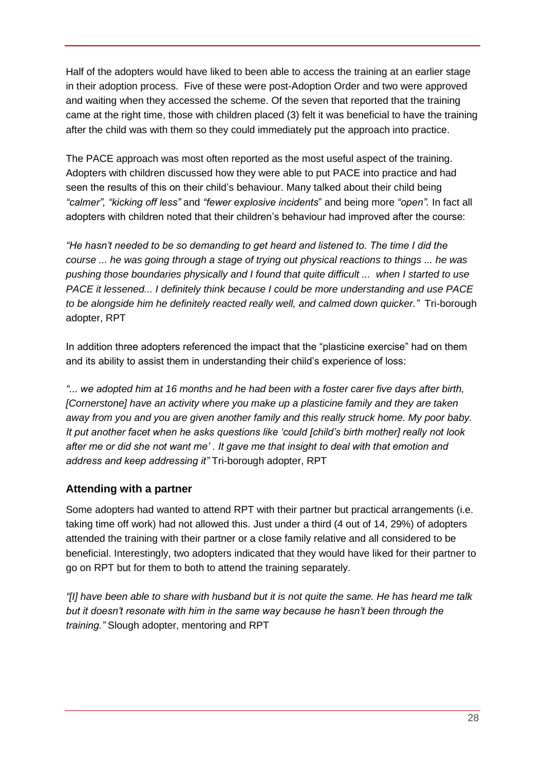Half of the adopters would have liked to been able to access the training at an earlier stage in their adoption process. Five of these were post-Adoption Order and two were approved and waiting when they accessed the scheme. Of the seven that reported that the training came at the right time, those with children placed (3) felt it was beneficial to have the training after the child was with them so they could immediately put the approach into practice.

The PACE approach was most often reported as the most useful aspect of the training. Adopters with children discussed how they were able to put PACE into practice and had seen the results of this on their child's behaviour. Many talked about their child being *"calmer", "kicking off less"* and *"fewer explosive incidents*" and being more *"open".* In fact all adopters with children noted that their children's behaviour had improved after the course:

*"He hasn't needed to be so demanding to get heard and listened to. The time I did the course ... he was going through a stage of trying out physical reactions to things ... he was pushing those boundaries physically and I found that quite difficult ... when I started to use PACE it lessened... I definitely think because I could be more understanding and use PACE to be alongside him he definitely reacted really well, and calmed down quicker."* Tri-borough adopter, RPT

In addition three adopters referenced the impact that the "plasticine exercise" had on them and its ability to assist them in understanding their child's experience of loss:

*"... we adopted him at 16 months and he had been with a foster carer five days after birth, [Cornerstone] have an activity where you make up a plasticine family and they are taken away from you and you are given another family and this really struck home. My poor baby. It put another facet when he asks questions like 'could [child's birth mother] really not look after me or did she not want me' . It gave me that insight to deal with that emotion and address and keep addressing it"* Tri-borough adopter, RPT

## <span id="page-27-0"></span>**Attending with a partner**

Some adopters had wanted to attend RPT with their partner but practical arrangements (i.e. taking time off work) had not allowed this. Just under a third (4 out of 14, 29%) of adopters attended the training with their partner or a close family relative and all considered to be beneficial. Interestingly, two adopters indicated that they would have liked for their partner to go on RPT but for them to both to attend the training separately.

*"[I] have been able to share with husband but it is not quite the same. He has heard me talk but it doesn't resonate with him in the same way because he hasn't been through the training."* Slough adopter, mentoring and RPT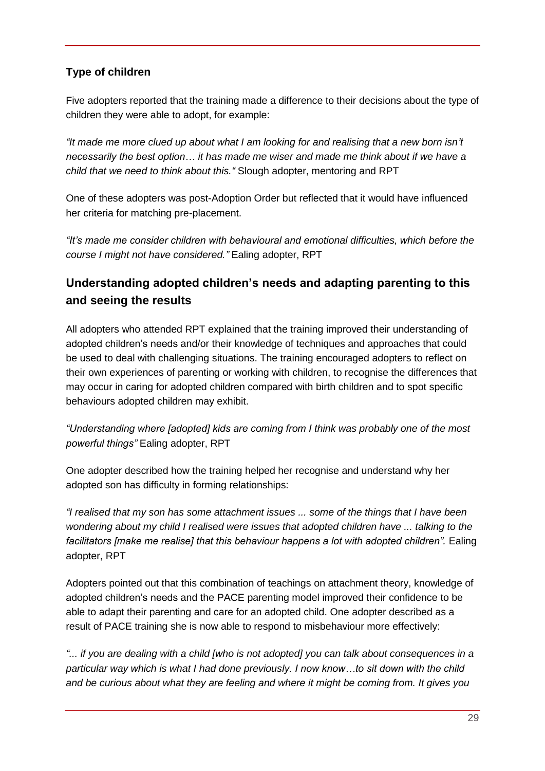## <span id="page-28-0"></span>**Type of children**

Five adopters reported that the training made a difference to their decisions about the type of children they were able to adopt, for example:

*"It made me more clued up about what I am looking for and realising that a new born isn't necessarily the best option… it has made me wiser and made me think about if we have a child that we need to think about this."* Slough adopter, mentoring and RPT

One of these adopters was post-Adoption Order but reflected that it would have influenced her criteria for matching pre-placement.

*"It's made me consider children with behavioural and emotional difficulties, which before the course I might not have considered."* Ealing adopter, RPT

# **Understanding adopted children's needs and adapting parenting to this and seeing the results**

All adopters who attended RPT explained that the training improved their understanding of adopted children's needs and/or their knowledge of techniques and approaches that could be used to deal with challenging situations. The training encouraged adopters to reflect on their own experiences of parenting or working with children, to recognise the differences that may occur in caring for adopted children compared with birth children and to spot specific behaviours adopted children may exhibit.

*"Understanding where [adopted] kids are coming from I think was probably one of the most powerful things"* Ealing adopter, RPT

One adopter described how the training helped her recognise and understand why her adopted son has difficulty in forming relationships:

*"I realised that my son has some attachment issues ... some of the things that I have been wondering about my child I realised were issues that adopted children have ... talking to the facilitators [make me realise] that this behaviour happens a lot with adopted children".* Ealing adopter, RPT

Adopters pointed out that this combination of teachings on attachment theory, knowledge of adopted children's needs and the PACE parenting model improved their confidence to be able to adapt their parenting and care for an adopted child. One adopter described as a result of PACE training she is now able to respond to misbehaviour more effectively:

*"... if you are dealing with a child [who is not adopted] you can talk about consequences in a particular way which is what I had done previously. I now know…to sit down with the child and be curious about what they are feeling and where it might be coming from. It gives you*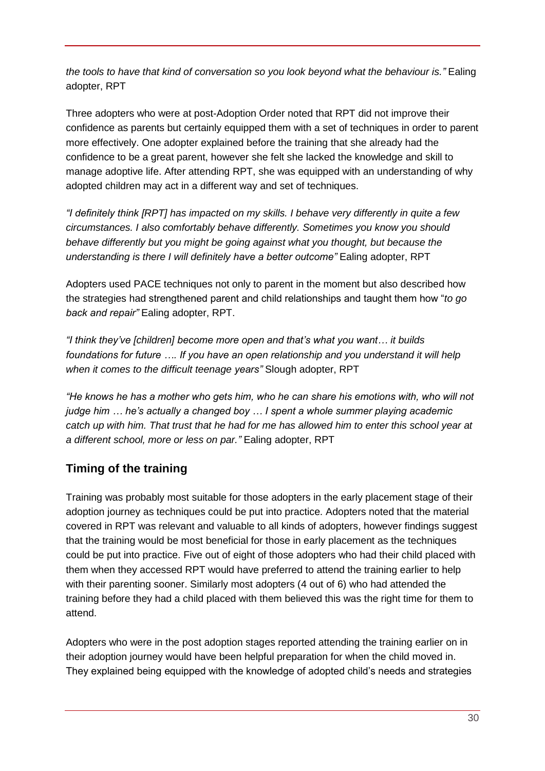*the tools to have that kind of conversation so you look beyond what the behaviour is."* Ealing adopter, RPT

Three adopters who were at post-Adoption Order noted that RPT did not improve their confidence as parents but certainly equipped them with a set of techniques in order to parent more effectively. One adopter explained before the training that she already had the confidence to be a great parent, however she felt she lacked the knowledge and skill to manage adoptive life. After attending RPT, she was equipped with an understanding of why adopted children may act in a different way and set of techniques.

*"I definitely think [RPT] has impacted on my skills. I behave very differently in quite a few circumstances. I also comfortably behave differently. Sometimes you know you should behave differently but you might be going against what you thought, but because the understanding is there I will definitely have a better outcome"* Ealing adopter, RPT

Adopters used PACE techniques not only to parent in the moment but also described how the strategies had strengthened parent and child relationships and taught them how "*to go back and repair"* Ealing adopter, RPT.

*"I think they've [children] become more open and that's what you want… it builds foundations for future …. If you have an open relationship and you understand it will help when it comes to the difficult teenage years"* Slough adopter, RPT

*"He knows he has a mother who gets him, who he can share his emotions with, who will not judge him … he's actually a changed boy … I spent a whole summer playing academic catch up with him. That trust that he had for me has allowed him to enter this school year at a different school, more or less on par."* Ealing adopter, RPT

# **Timing of the training**

Training was probably most suitable for those adopters in the early placement stage of their adoption journey as techniques could be put into practice. Adopters noted that the material covered in RPT was relevant and valuable to all kinds of adopters, however findings suggest that the training would be most beneficial for those in early placement as the techniques could be put into practice. Five out of eight of those adopters who had their child placed with them when they accessed RPT would have preferred to attend the training earlier to help with their parenting sooner. Similarly most adopters (4 out of 6) who had attended the training before they had a child placed with them believed this was the right time for them to attend.

Adopters who were in the post adoption stages reported attending the training earlier on in their adoption journey would have been helpful preparation for when the child moved in. They explained being equipped with the knowledge of adopted child's needs and strategies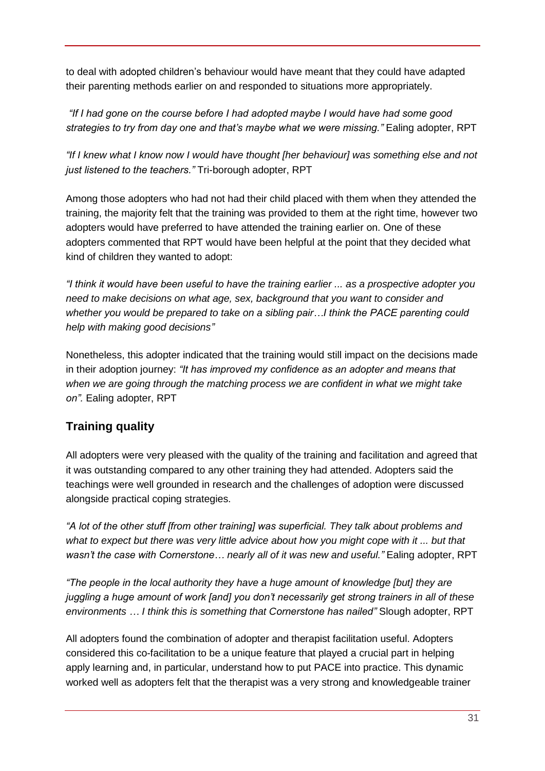to deal with adopted children's behaviour would have meant that they could have adapted their parenting methods earlier on and responded to situations more appropriately.

*"If I had gone on the course before I had adopted maybe I would have had some good strategies to try from day one and that's maybe what we were missing."* Ealing adopter, RPT

*"If I knew what I know now I would have thought [her behaviour] was something else and not just listened to the teachers."* Tri-borough adopter, RPT

Among those adopters who had not had their child placed with them when they attended the training, the majority felt that the training was provided to them at the right time, however two adopters would have preferred to have attended the training earlier on. One of these adopters commented that RPT would have been helpful at the point that they decided what kind of children they wanted to adopt:

*"I think it would have been useful to have the training earlier ... as a prospective adopter you need to make decisions on what age, sex, background that you want to consider and whether you would be prepared to take on a sibling pair…I think the PACE parenting could help with making good decisions"* 

Nonetheless, this adopter indicated that the training would still impact on the decisions made in their adoption journey: *"It has improved my confidence as an adopter and means that when we are going through the matching process we are confident in what we might take on".* Ealing adopter, RPT

# **Training quality**

All adopters were very pleased with the quality of the training and facilitation and agreed that it was outstanding compared to any other training they had attended. Adopters said the teachings were well grounded in research and the challenges of adoption were discussed alongside practical coping strategies.

*"A lot of the other stuff [from other training] was superficial. They talk about problems and what to expect but there was very little advice about how you might cope with it ... but that wasn't the case with Cornerstone… nearly all of it was new and useful."* Ealing adopter, RPT

*"The people in the local authority they have a huge amount of knowledge [but] they are juggling a huge amount of work [and] you don't necessarily get strong trainers in all of these environments … I think this is something that Cornerstone has nailed"* Slough adopter, RPT

All adopters found the combination of adopter and therapist facilitation useful. Adopters considered this co-facilitation to be a unique feature that played a crucial part in helping apply learning and, in particular, understand how to put PACE into practice. This dynamic worked well as adopters felt that the therapist was a very strong and knowledgeable trainer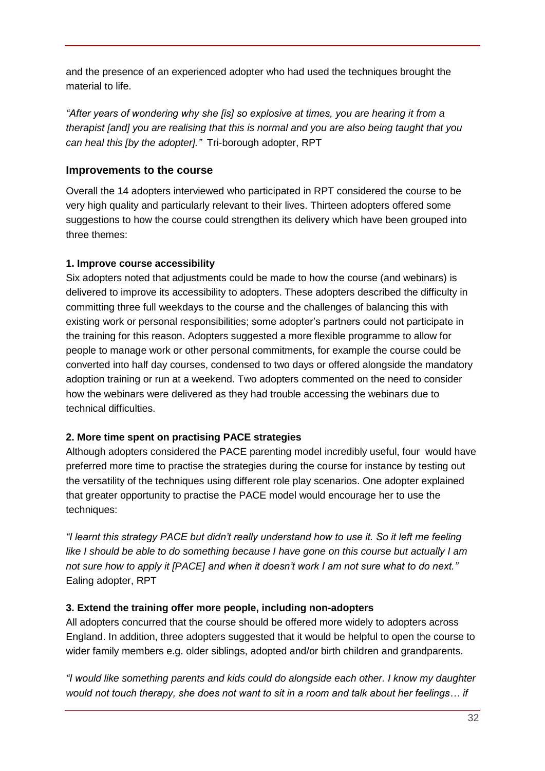and the presence of an experienced adopter who had used the techniques brought the material to life.

*"After years of wondering why she [is] so explosive at times, you are hearing it from a therapist [and] you are realising that this is normal and you are also being taught that you can heal this [by the adopter]."* Tri-borough adopter, RPT

## <span id="page-31-0"></span>**Improvements to the course**

Overall the 14 adopters interviewed who participated in RPT considered the course to be very high quality and particularly relevant to their lives. Thirteen adopters offered some suggestions to how the course could strengthen its delivery which have been grouped into three themes:

## **1. Improve course accessibility**

Six adopters noted that adjustments could be made to how the course (and webinars) is delivered to improve its accessibility to adopters. These adopters described the difficulty in committing three full weekdays to the course and the challenges of balancing this with existing work or personal responsibilities; some adopter's partners could not participate in the training for this reason. Adopters suggested a more flexible programme to allow for people to manage work or other personal commitments, for example the course could be converted into half day courses, condensed to two days or offered alongside the mandatory adoption training or run at a weekend. Two adopters commented on the need to consider how the webinars were delivered as they had trouble accessing the webinars due to technical difficulties.

## **2. More time spent on practising PACE strategies**

Although adopters considered the PACE parenting model incredibly useful, four would have preferred more time to practise the strategies during the course for instance by testing out the versatility of the techniques using different role play scenarios. One adopter explained that greater opportunity to practise the PACE model would encourage her to use the techniques:

*"I learnt this strategy PACE but didn't really understand how to use it. So it left me feeling like I should be able to do something because I have gone on this course but actually I am not sure how to apply it [PACE] and when it doesn't work I am not sure what to do next."* Ealing adopter, RPT

## **3. Extend the training offer more people, including non-adopters**

All adopters concurred that the course should be offered more widely to adopters across England. In addition, three adopters suggested that it would be helpful to open the course to wider family members e.g. older siblings, adopted and/or birth children and grandparents.

*"I would like something parents and kids could do alongside each other. I know my daughter would not touch therapy, she does not want to sit in a room and talk about her feelings… if*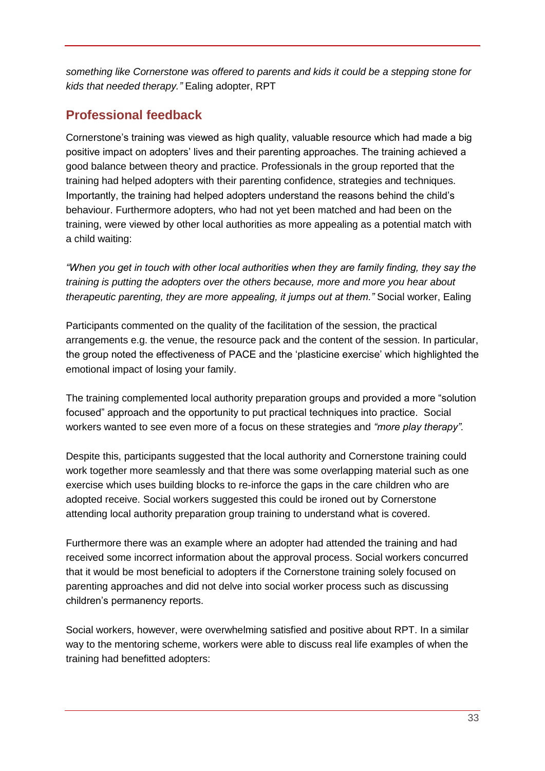*something like Cornerstone was offered to parents and kids it could be a stepping stone for kids that needed therapy."* Ealing adopter, RPT

# <span id="page-32-0"></span>**Professional feedback**

Cornerstone's training was viewed as high quality, valuable resource which had made a big positive impact on adopters' lives and their parenting approaches. The training achieved a good balance between theory and practice. Professionals in the group reported that the training had helped adopters with their parenting confidence, strategies and techniques. Importantly, the training had helped adopters understand the reasons behind the child's behaviour. Furthermore adopters, who had not yet been matched and had been on the training, were viewed by other local authorities as more appealing as a potential match with a child waiting:

*"When you get in touch with other local authorities when they are family finding, they say the training is putting the adopters over the others because, more and more you hear about therapeutic parenting, they are more appealing, it jumps out at them."* Social worker, Ealing

Participants commented on the quality of the facilitation of the session, the practical arrangements e.g. the venue, the resource pack and the content of the session. In particular, the group noted the effectiveness of PACE and the 'plasticine exercise' which highlighted the emotional impact of losing your family.

The training complemented local authority preparation groups and provided a more "solution focused" approach and the opportunity to put practical techniques into practice. Social workers wanted to see even more of a focus on these strategies and *"more play therapy".* 

Despite this, participants suggested that the local authority and Cornerstone training could work together more seamlessly and that there was some overlapping material such as one exercise which uses building blocks to re-inforce the gaps in the care children who are adopted receive. Social workers suggested this could be ironed out by Cornerstone attending local authority preparation group training to understand what is covered.

Furthermore there was an example where an adopter had attended the training and had received some incorrect information about the approval process. Social workers concurred that it would be most beneficial to adopters if the Cornerstone training solely focused on parenting approaches and did not delve into social worker process such as discussing children's permanency reports.

Social workers, however, were overwhelming satisfied and positive about RPT. In a similar way to the mentoring scheme, workers were able to discuss real life examples of when the training had benefitted adopters: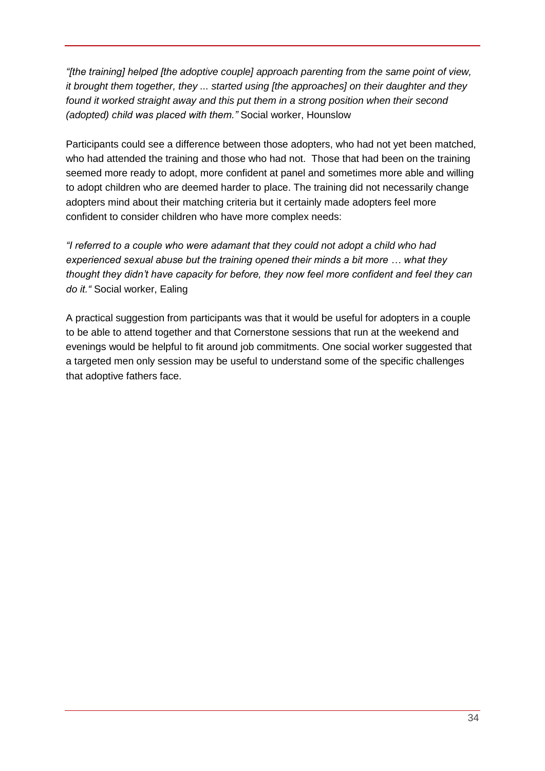*"[the training] helped [the adoptive couple] approach parenting from the same point of view, it brought them together, they ... started using [the approaches] on their daughter and they found it worked straight away and this put them in a strong position when their second (adopted) child was placed with them."* Social worker, Hounslow

Participants could see a difference between those adopters, who had not yet been matched, who had attended the training and those who had not. Those that had been on the training seemed more ready to adopt, more confident at panel and sometimes more able and willing to adopt children who are deemed harder to place. The training did not necessarily change adopters mind about their matching criteria but it certainly made adopters feel more confident to consider children who have more complex needs:

*"I referred to a couple who were adamant that they could not adopt a child who had experienced sexual abuse but the training opened their minds a bit more … what they thought they didn't have capacity for before, they now feel more confident and feel they can do it."* Social worker, Ealing

A practical suggestion from participants was that it would be useful for adopters in a couple to be able to attend together and that Cornerstone sessions that run at the weekend and evenings would be helpful to fit around job commitments. One social worker suggested that a targeted men only session may be useful to understand some of the specific challenges that adoptive fathers face.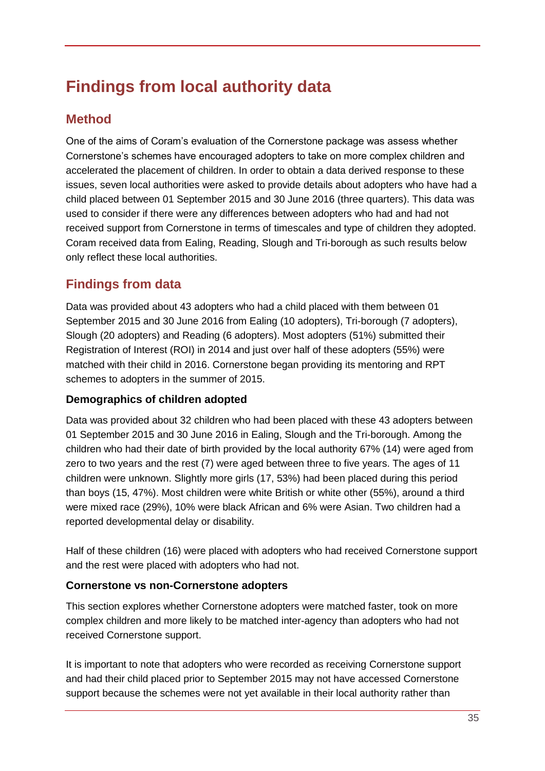# <span id="page-34-0"></span>**Findings from local authority data**

## <span id="page-34-1"></span>**Method**

One of the aims of Coram's evaluation of the Cornerstone package was assess whether Cornerstone's schemes have encouraged adopters to take on more complex children and accelerated the placement of children. In order to obtain a data derived response to these issues, seven local authorities were asked to provide details about adopters who have had a child placed between 01 September 2015 and 30 June 2016 (three quarters). This data was used to consider if there were any differences between adopters who had and had not received support from Cornerstone in terms of timescales and type of children they adopted. Coram received data from Ealing, Reading, Slough and Tri-borough as such results below only reflect these local authorities.

# <span id="page-34-2"></span>**Findings from data**

Data was provided about 43 adopters who had a child placed with them between 01 September 2015 and 30 June 2016 from Ealing (10 adopters), Tri-borough (7 adopters), Slough (20 adopters) and Reading (6 adopters). Most adopters (51%) submitted their Registration of Interest (ROI) in 2014 and just over half of these adopters (55%) were matched with their child in 2016. Cornerstone began providing its mentoring and RPT schemes to adopters in the summer of 2015.

## <span id="page-34-3"></span>**Demographics of children adopted**

Data was provided about 32 children who had been placed with these 43 adopters between 01 September 2015 and 30 June 2016 in Ealing, Slough and the Tri-borough. Among the children who had their date of birth provided by the local authority 67% (14) were aged from zero to two years and the rest (7) were aged between three to five years. The ages of 11 children were unknown. Slightly more girls (17, 53%) had been placed during this period than boys (15, 47%). Most children were white British or white other (55%), around a third were mixed race (29%), 10% were black African and 6% were Asian. Two children had a reported developmental delay or disability.

Half of these children (16) were placed with adopters who had received Cornerstone support and the rest were placed with adopters who had not.

## <span id="page-34-4"></span>**Cornerstone vs non-Cornerstone adopters**

This section explores whether Cornerstone adopters were matched faster, took on more complex children and more likely to be matched inter-agency than adopters who had not received Cornerstone support.

It is important to note that adopters who were recorded as receiving Cornerstone support and had their child placed prior to September 2015 may not have accessed Cornerstone support because the schemes were not yet available in their local authority rather than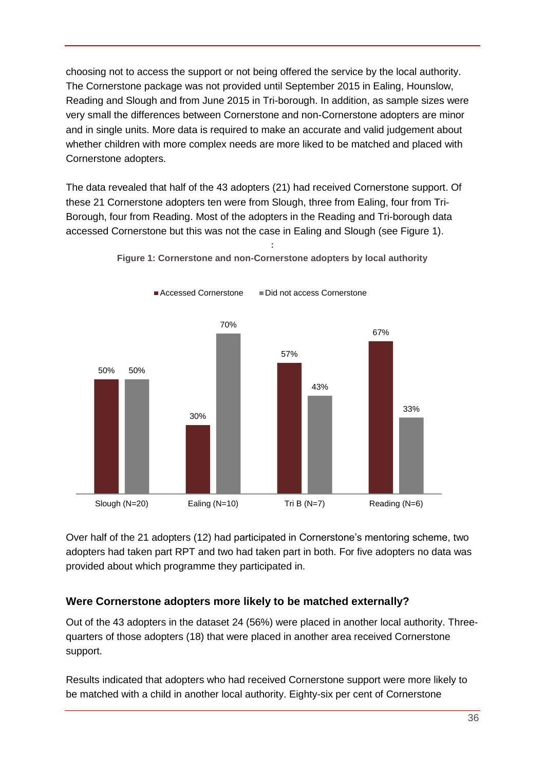choosing not to access the support or not being offered the service by the local authority. The Cornerstone package was not provided until September 2015 in Ealing, Hounslow, Reading and Slough and from June 2015 in Tri-borough. In addition, as sample sizes were very small the differences between Cornerstone and non-Cornerstone adopters are minor and in single units. More data is required to make an accurate and valid judgement about whether children with more complex needs are more liked to be matched and placed with Cornerstone adopters.

The data revealed that half of the 43 adopters (21) had received Cornerstone support. Of these 21 Cornerstone adopters ten were from Slough, three from Ealing, four from Tri-Borough, four from Reading. Most of the adopters in the Reading and Tri-borough data accessed Cornerstone but this was not the case in Ealing and Slough (see Figure 1).

<span id="page-35-1"></span>

**: Figure 1: Cornerstone and non-Cornerstone adopters by local authority**

Over half of the 21 adopters (12) had participated in Cornerstone's mentoring scheme, two adopters had taken part RPT and two had taken part in both. For five adopters no data was provided about which programme they participated in.

## <span id="page-35-0"></span>**Were Cornerstone adopters more likely to be matched externally?**

Out of the 43 adopters in the dataset 24 (56%) were placed in another local authority. Threequarters of those adopters (18) that were placed in another area received Cornerstone support.

Results indicated that adopters who had received Cornerstone support were more likely to be matched with a child in another local authority. Eighty-six per cent of Cornerstone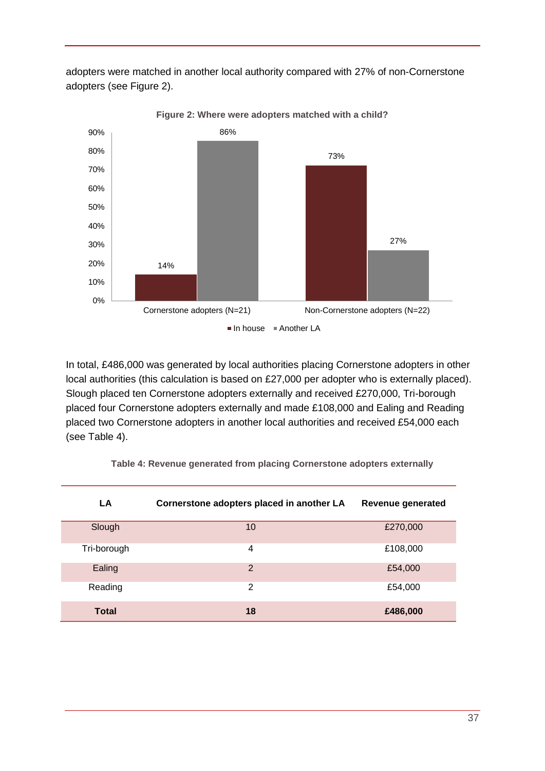adopters were matched in another local authority compared with 27% of non-Cornerstone adopters (see Figure 2).

<span id="page-36-1"></span>

**Figure 2: Where were adopters matched with a child?**

In total, £486,000 was generated by local authorities placing Cornerstone adopters in other local authorities (this calculation is based on £27,000 per adopter who is externally placed). Slough placed ten Cornerstone adopters externally and received £270,000, Tri-borough placed four Cornerstone adopters externally and made £108,000 and Ealing and Reading placed two Cornerstone adopters in another local authorities and received £54,000 each (see Table 4).

<span id="page-36-0"></span>

| LA           | Cornerstone adopters placed in another LA | Revenue generated |
|--------------|-------------------------------------------|-------------------|
| Slough       | 10                                        | £270,000          |
| Tri-borough  | 4                                         | £108,000          |
| Ealing       | $\overline{2}$                            | £54,000           |
| Reading      | 2                                         | £54,000           |
| <b>Total</b> | 18                                        | £486,000          |

**Table 4: Revenue generated from placing Cornerstone adopters externally**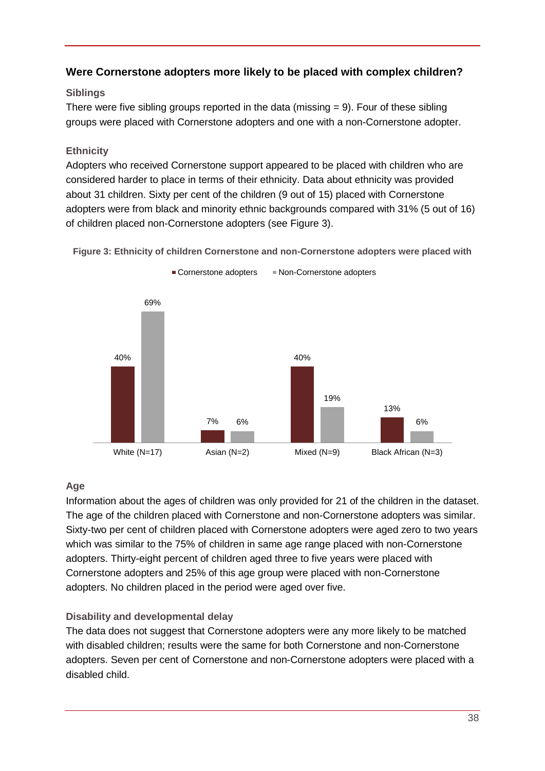## <span id="page-37-0"></span>**Were Cornerstone adopters more likely to be placed with complex children?**

## **Siblings**

There were five sibling groups reported in the data (missing  $= 9$ ). Four of these sibling groups were placed with Cornerstone adopters and one with a non-Cornerstone adopter.

#### **Ethnicity**

Adopters who received Cornerstone support appeared to be placed with children who are considered harder to place in terms of their ethnicity. Data about ethnicity was provided about 31 children. Sixty per cent of the children (9 out of 15) placed with Cornerstone adopters were from black and minority ethnic backgrounds compared with 31% (5 out of 16) of children placed non-Cornerstone adopters (see Figure 3).



<span id="page-37-1"></span>**Figure 3: Ethnicity of children Cornerstone and non-Cornerstone adopters were placed with**

## **Age**

Information about the ages of children was only provided for 21 of the children in the dataset. The age of the children placed with Cornerstone and non-Cornerstone adopters was similar. Sixty-two per cent of children placed with Cornerstone adopters were aged zero to two years which was similar to the 75% of children in same age range placed with non-Cornerstone adopters. Thirty-eight percent of children aged three to five years were placed with Cornerstone adopters and 25% of this age group were placed with non-Cornerstone adopters. No children placed in the period were aged over five.

## **Disability and developmental delay**

The data does not suggest that Cornerstone adopters were any more likely to be matched with disabled children; results were the same for both Cornerstone and non-Cornerstone adopters. Seven per cent of Cornerstone and non-Cornerstone adopters were placed with a disabled child.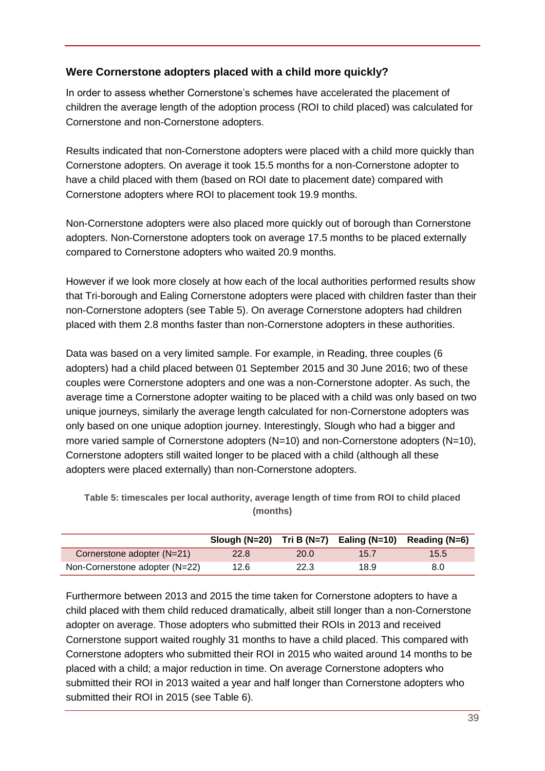## <span id="page-38-0"></span>**Were Cornerstone adopters placed with a child more quickly?**

In order to assess whether Cornerstone's schemes have accelerated the placement of children the average length of the adoption process (ROI to child placed) was calculated for Cornerstone and non-Cornerstone adopters.

Results indicated that non-Cornerstone adopters were placed with a child more quickly than Cornerstone adopters. On average it took 15.5 months for a non-Cornerstone adopter to have a child placed with them (based on ROI date to placement date) compared with Cornerstone adopters where ROI to placement took 19.9 months.

Non-Cornerstone adopters were also placed more quickly out of borough than Cornerstone adopters. Non-Cornerstone adopters took on average 17.5 months to be placed externally compared to Cornerstone adopters who waited 20.9 months.

However if we look more closely at how each of the local authorities performed results show that Tri-borough and Ealing Cornerstone adopters were placed with children faster than their non-Cornerstone adopters (see Table 5). On average Cornerstone adopters had children placed with them 2.8 months faster than non-Cornerstone adopters in these authorities.

Data was based on a very limited sample. For example, in Reading, three couples (6 adopters) had a child placed between 01 September 2015 and 30 June 2016; two of these couples were Cornerstone adopters and one was a non-Cornerstone adopter. As such, the average time a Cornerstone adopter waiting to be placed with a child was only based on two unique journeys, similarly the average length calculated for non-Cornerstone adopters was only based on one unique adoption journey. Interestingly, Slough who had a bigger and more varied sample of Cornerstone adopters (N=10) and non-Cornerstone adopters (N=10), Cornerstone adopters still waited longer to be placed with a child (although all these adopters were placed externally) than non-Cornerstone adopters.

|                                | Slough (N=20) Tri B (N=7) Ealing (N=10) |      |      | Reading (N=6) |
|--------------------------------|-----------------------------------------|------|------|---------------|
| Cornerstone adopter (N=21)     | 22.8                                    | 20.0 | 15.7 | 15.5          |
| Non-Cornerstone adopter (N=22) | 12.6                                    | 22.3 | 18.9 | 8.0           |

<span id="page-38-1"></span>**Table 5: timescales per local authority, average length of time from ROI to child placed (months)**

Furthermore between 2013 and 2015 the time taken for Cornerstone adopters to have a child placed with them child reduced dramatically, albeit still longer than a non-Cornerstone adopter on average. Those adopters who submitted their ROIs in 2013 and received Cornerstone support waited roughly 31 months to have a child placed. This compared with Cornerstone adopters who submitted their ROI in 2015 who waited around 14 months to be placed with a child; a major reduction in time. On average Cornerstone adopters who submitted their ROI in 2013 waited a year and half longer than Cornerstone adopters who submitted their ROI in 2015 (see Table 6).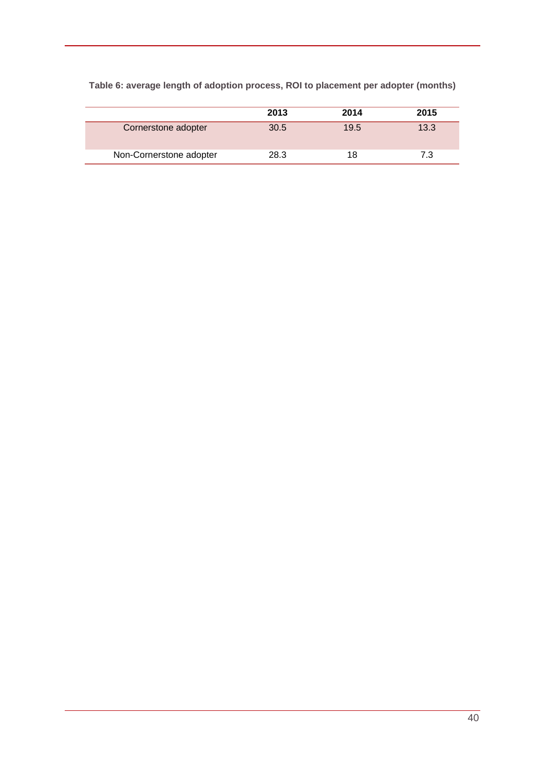|                         | 2013 | 2014 | 2015 |
|-------------------------|------|------|------|
| Cornerstone adopter     | 30.5 | 19.5 | 13.3 |
| Non-Cornerstone adopter | 28.3 | 18   | 7.3  |

<span id="page-39-0"></span>**Table 6: average length of adoption process, ROI to placement per adopter (months)**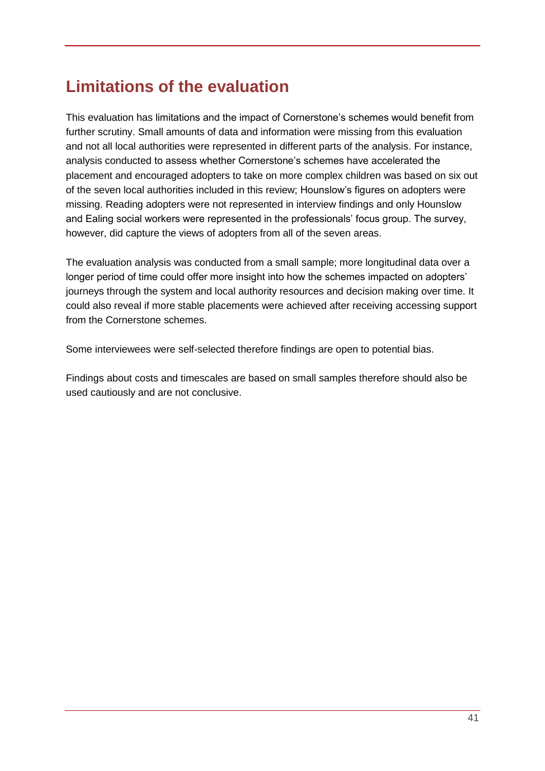# <span id="page-40-0"></span>**Limitations of the evaluation**

This evaluation has limitations and the impact of Cornerstone's schemes would benefit from further scrutiny. Small amounts of data and information were missing from this evaluation and not all local authorities were represented in different parts of the analysis. For instance, analysis conducted to assess whether Cornerstone's schemes have accelerated the placement and encouraged adopters to take on more complex children was based on six out of the seven local authorities included in this review; Hounslow's figures on adopters were missing. Reading adopters were not represented in interview findings and only Hounslow and Ealing social workers were represented in the professionals' focus group. The survey, however, did capture the views of adopters from all of the seven areas.

The evaluation analysis was conducted from a small sample; more longitudinal data over a longer period of time could offer more insight into how the schemes impacted on adopters' journeys through the system and local authority resources and decision making over time. It could also reveal if more stable placements were achieved after receiving accessing support from the Cornerstone schemes.

Some interviewees were self-selected therefore findings are open to potential bias.

Findings about costs and timescales are based on small samples therefore should also be used cautiously and are not conclusive.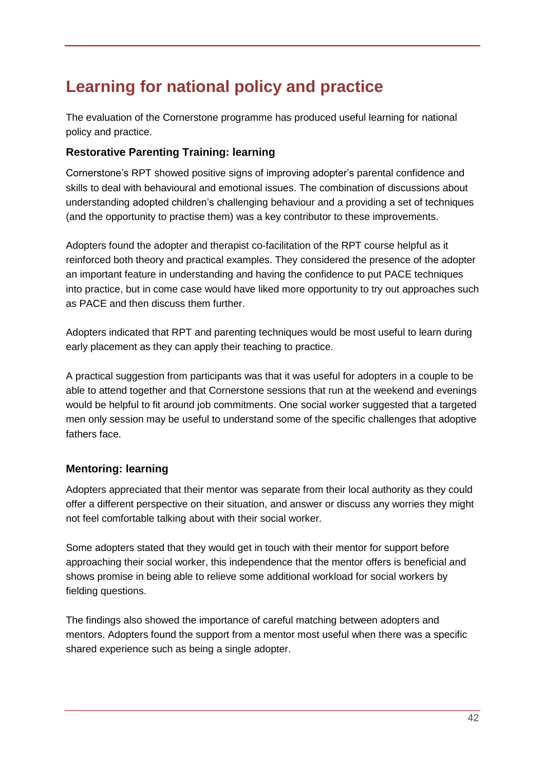# <span id="page-41-0"></span>**Learning for national policy and practice**

The evaluation of the Cornerstone programme has produced useful learning for national policy and practice.

## <span id="page-41-1"></span>**Restorative Parenting Training: learning**

Cornerstone's RPT showed positive signs of improving adopter's parental confidence and skills to deal with behavioural and emotional issues. The combination of discussions about understanding adopted children's challenging behaviour and a providing a set of techniques (and the opportunity to practise them) was a key contributor to these improvements.

Adopters found the adopter and therapist co-facilitation of the RPT course helpful as it reinforced both theory and practical examples. They considered the presence of the adopter an important feature in understanding and having the confidence to put PACE techniques into practice, but in come case would have liked more opportunity to try out approaches such as PACE and then discuss them further.

Adopters indicated that RPT and parenting techniques would be most useful to learn during early placement as they can apply their teaching to practice.

A practical suggestion from participants was that it was useful for adopters in a couple to be able to attend together and that Cornerstone sessions that run at the weekend and evenings would be helpful to fit around job commitments. One social worker suggested that a targeted men only session may be useful to understand some of the specific challenges that adoptive fathers face.

## <span id="page-41-2"></span>**Mentoring: learning**

Adopters appreciated that their mentor was separate from their local authority as they could offer a different perspective on their situation, and answer or discuss any worries they might not feel comfortable talking about with their social worker.

Some adopters stated that they would get in touch with their mentor for support before approaching their social worker, this independence that the mentor offers is beneficial and shows promise in being able to relieve some additional workload for social workers by fielding questions.

The findings also showed the importance of careful matching between adopters and mentors. Adopters found the support from a mentor most useful when there was a specific shared experience such as being a single adopter.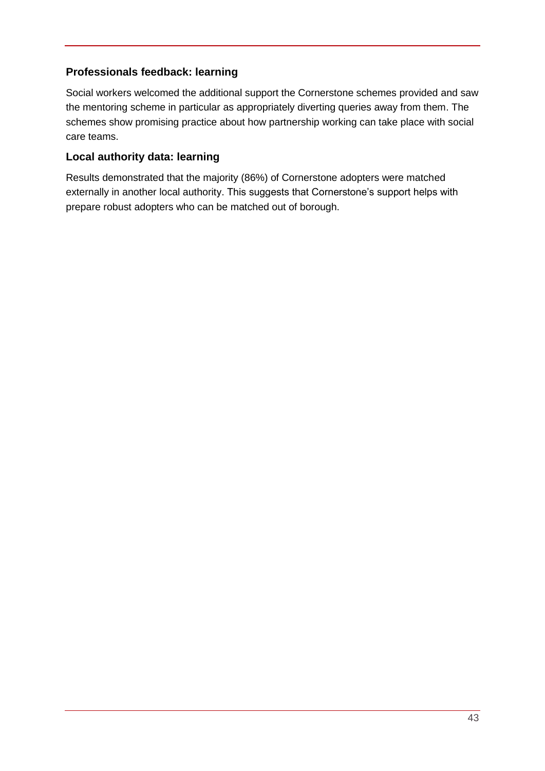## <span id="page-42-0"></span>**Professionals feedback: learning**

Social workers welcomed the additional support the Cornerstone schemes provided and saw the mentoring scheme in particular as appropriately diverting queries away from them. The schemes show promising practice about how partnership working can take place with social care teams.

## <span id="page-42-1"></span>**Local authority data: learning**

Results demonstrated that the majority (86%) of Cornerstone adopters were matched externally in another local authority. This suggests that Cornerstone's support helps with prepare robust adopters who can be matched out of borough.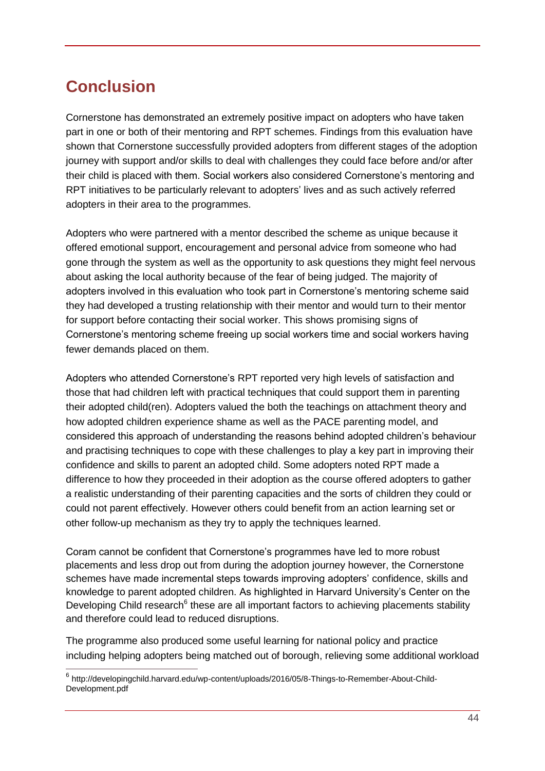# <span id="page-43-0"></span>**Conclusion**

Cornerstone has demonstrated an extremely positive impact on adopters who have taken part in one or both of their mentoring and RPT schemes. Findings from this evaluation have shown that Cornerstone successfully provided adopters from different stages of the adoption journey with support and/or skills to deal with challenges they could face before and/or after their child is placed with them. Social workers also considered Cornerstone's mentoring and RPT initiatives to be particularly relevant to adopters' lives and as such actively referred adopters in their area to the programmes.

Adopters who were partnered with a mentor described the scheme as unique because it offered emotional support, encouragement and personal advice from someone who had gone through the system as well as the opportunity to ask questions they might feel nervous about asking the local authority because of the fear of being judged. The majority of adopters involved in this evaluation who took part in Cornerstone's mentoring scheme said they had developed a trusting relationship with their mentor and would turn to their mentor for support before contacting their social worker. This shows promising signs of Cornerstone's mentoring scheme freeing up social workers time and social workers having fewer demands placed on them.

Adopters who attended Cornerstone's RPT reported very high levels of satisfaction and those that had children left with practical techniques that could support them in parenting their adopted child(ren). Adopters valued the both the teachings on attachment theory and how adopted children experience shame as well as the PACE parenting model, and considered this approach of understanding the reasons behind adopted children's behaviour and practising techniques to cope with these challenges to play a key part in improving their confidence and skills to parent an adopted child. Some adopters noted RPT made a difference to how they proceeded in their adoption as the course offered adopters to gather a realistic understanding of their parenting capacities and the sorts of children they could or could not parent effectively. However others could benefit from an action learning set or other follow-up mechanism as they try to apply the techniques learned.

Coram cannot be confident that Cornerstone's programmes have led to more robust placements and less drop out from during the adoption journey however, the Cornerstone schemes have made incremental steps towards improving adopters' confidence, skills and knowledge to parent adopted children. As highlighted in Harvard University's Center on the Developing Child research<sup>6</sup> these are all important factors to achieving placements stability and therefore could lead to reduced disruptions.

The programme also produced some useful learning for national policy and practice including helping adopters being matched out of borough, relieving some additional workload

\_\_\_\_\_\_\_\_\_\_\_\_\_\_\_\_\_\_\_\_\_\_\_\_\_\_\_\_\_\_\_\_\_\_\_<br><sup>6</sup> http://developingchild.harvard.edu/wp-content/uploads/2016/05/8-Things-to-Remember-About-Child-Development.pdf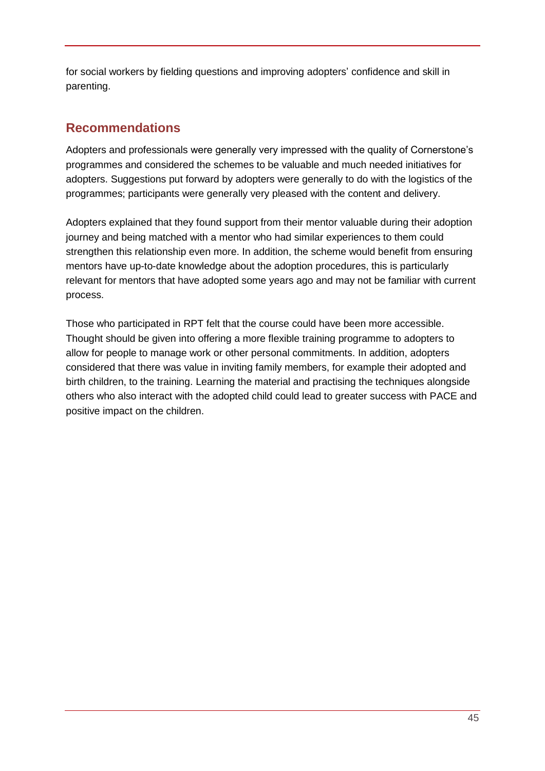for social workers by fielding questions and improving adopters' confidence and skill in parenting.

## <span id="page-44-0"></span>**Recommendations**

Adopters and professionals were generally very impressed with the quality of Cornerstone's programmes and considered the schemes to be valuable and much needed initiatives for adopters. Suggestions put forward by adopters were generally to do with the logistics of the programmes; participants were generally very pleased with the content and delivery.

Adopters explained that they found support from their mentor valuable during their adoption journey and being matched with a mentor who had similar experiences to them could strengthen this relationship even more. In addition, the scheme would benefit from ensuring mentors have up-to-date knowledge about the adoption procedures, this is particularly relevant for mentors that have adopted some years ago and may not be familiar with current process.

Those who participated in RPT felt that the course could have been more accessible. Thought should be given into offering a more flexible training programme to adopters to allow for people to manage work or other personal commitments. In addition, adopters considered that there was value in inviting family members, for example their adopted and birth children, to the training. Learning the material and practising the techniques alongside others who also interact with the adopted child could lead to greater success with PACE and positive impact on the children.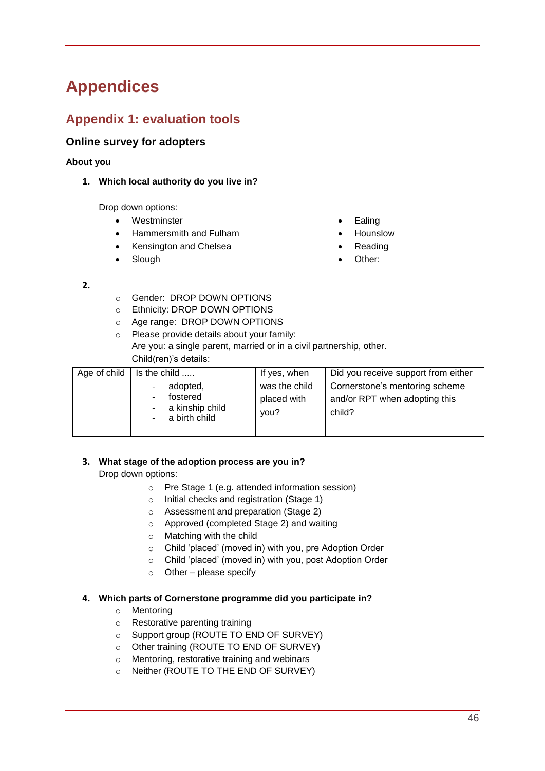# <span id="page-45-0"></span>**Appendices**

# <span id="page-45-1"></span>**Appendix 1: evaluation tools**

#### <span id="page-45-2"></span>**Online survey for adopters**

#### **About you**

**1. Which local authority do you live in?** 

Drop down options:

- Westminster
- Hammersmith and Fulham
- Kensington and Chelsea
- Slough
- Ealing
- Hounslow
- Reading
- Other:

- **2.**
- o Gender: DROP DOWN OPTIONS
- o Ethnicity: DROP DOWN OPTIONS
- o Age range: DROP DOWN OPTIONS
- o Please provide details about your family: Are you: a single parent, married or in a civil partnership, other. Child(ren)'s details:

| Age of child | Is the child                                             | If yes, when                         | Did you receive support from either                                       |
|--------------|----------------------------------------------------------|--------------------------------------|---------------------------------------------------------------------------|
|              | adopted,<br>fostered<br>a kinship child<br>a birth child | was the child<br>placed with<br>you? | Cornerstone's mentoring scheme<br>and/or RPT when adopting this<br>child? |

#### **3. What stage of the adoption process are you in?**

Drop down options:

- o Pre Stage 1 (e.g. attended information session)
- o Initial checks and registration (Stage 1)
- o Assessment and preparation (Stage 2)
- o Approved (completed Stage 2) and waiting
- o Matching with the child
- o Child 'placed' (moved in) with you, pre Adoption Order
- o Child 'placed' (moved in) with you, post Adoption Order
- $\circ$  Other please specify

#### **4. Which parts of Cornerstone programme did you participate in?**

- o Mentoring
- o Restorative parenting training
- o Support group (ROUTE TO END OF SURVEY)
- o Other training (ROUTE TO END OF SURVEY)
- o Mentoring, restorative training and webinars
- o Neither (ROUTE TO THE END OF SURVEY)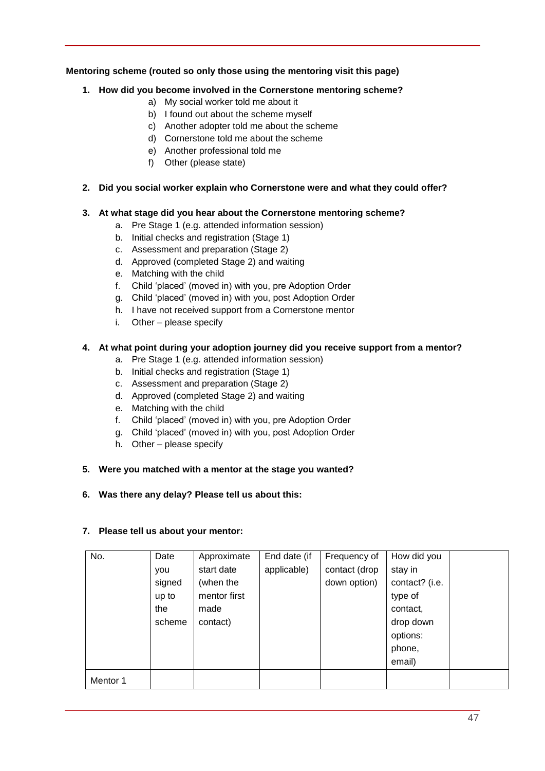#### **Mentoring scheme (routed so only those using the mentoring visit this page)**

#### **1. How did you become involved in the Cornerstone mentoring scheme?**

- a) My social worker told me about it
- b) I found out about the scheme myself
- c) Another adopter told me about the scheme
- d) Cornerstone told me about the scheme
- e) Another professional told me
- f) Other (please state)
- **2. Did you social worker explain who Cornerstone were and what they could offer?**

#### **3. At what stage did you hear about the Cornerstone mentoring scheme?**

- a. Pre Stage 1 (e.g. attended information session)
- b. Initial checks and registration (Stage 1)
- c. Assessment and preparation (Stage 2)
- d. Approved (completed Stage 2) and waiting
- e. Matching with the child
- f. Child 'placed' (moved in) with you, pre Adoption Order
- g. Child 'placed' (moved in) with you, post Adoption Order
- h. I have not received support from a Cornerstone mentor
- i. Other please specify

#### **4. At what point during your adoption journey did you receive support from a mentor?**

- a. Pre Stage 1 (e.g. attended information session)
- b. Initial checks and registration (Stage 1)
- c. Assessment and preparation (Stage 2)
- d. Approved (completed Stage 2) and waiting
- e. Matching with the child
- f. Child 'placed' (moved in) with you, pre Adoption Order
- g. Child 'placed' (moved in) with you, post Adoption Order
- h. Other please specify

#### **5. Were you matched with a mentor at the stage you wanted?**

#### **6. Was there any delay? Please tell us about this:**

#### **7. Please tell us about your mentor:**

| No.      | Date   | Approximate  | End date (if | Frequency of  | How did you    |  |
|----------|--------|--------------|--------------|---------------|----------------|--|
|          | you    | start date   | applicable)  | contact (drop | stay in        |  |
|          | signed | (when the    |              | down option)  | contact? (i.e. |  |
|          | up to  | mentor first |              |               | type of        |  |
|          | the    | made         |              |               | contact,       |  |
|          | scheme | contact)     |              |               | drop down      |  |
|          |        |              |              |               | options:       |  |
|          |        |              |              |               | phone,         |  |
|          |        |              |              |               | email)         |  |
| Mentor 1 |        |              |              |               |                |  |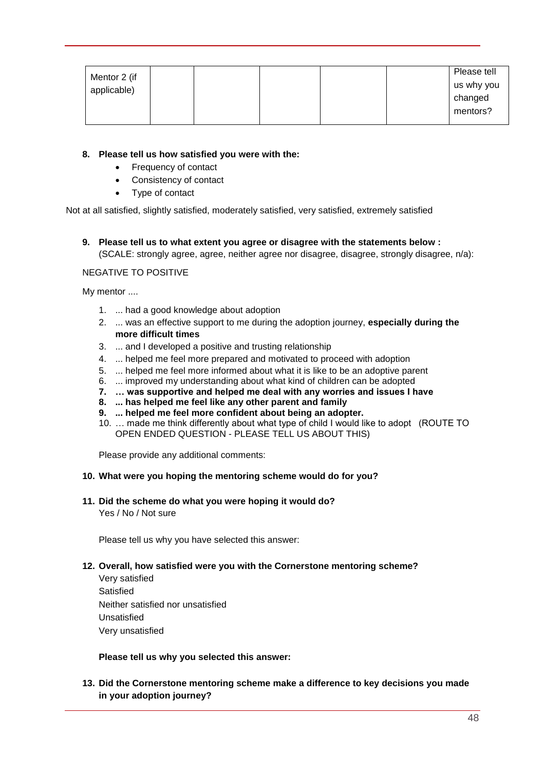| Mentor 2 (if<br>applicable) |  |  | Please tell<br>us why you |
|-----------------------------|--|--|---------------------------|
|                             |  |  | changed                   |
|                             |  |  | mentors?                  |

#### **8. Please tell us how satisfied you were with the:**

- Frequency of contact
- Consistency of contact
- Type of contact

Not at all satisfied, slightly satisfied, moderately satisfied, very satisfied, extremely satisfied

**9. Please tell us to what extent you agree or disagree with the statements below :** (SCALE: strongly agree, agree, neither agree nor disagree, disagree, strongly disagree, n/a):

#### NEGATIVE TO POSITIVE

My mentor ....

- 1. ... had a good knowledge about adoption
- 2. ... was an effective support to me during the adoption journey, **especially during the more difficult times**
- 3. ... and I developed a positive and trusting relationship
- 4. ... helped me feel more prepared and motivated to proceed with adoption
- 5. ... helped me feel more informed about what it is like to be an adoptive parent
- 6. ... improved my understanding about what kind of children can be adopted
- **7. … was supportive and helped me deal with any worries and issues I have**
- **8. ... has helped me feel like any other parent and family**
- **9. ... helped me feel more confident about being an adopter.**
- 10. … made me think differently about what type of child I would like to adopt (ROUTE TO OPEN ENDED QUESTION - PLEASE TELL US ABOUT THIS)

Please provide any additional comments:

#### **10. What were you hoping the mentoring scheme would do for you?**

## **11. Did the scheme do what you were hoping it would do?**

Yes / No / Not sure

Please tell us why you have selected this answer:

#### **12. Overall, how satisfied were you with the Cornerstone mentoring scheme?**

Very satisfied **Satisfied** Neither satisfied nor unsatisfied Unsatisfied Very unsatisfied

**Please tell us why you selected this answer:** 

**13. Did the Cornerstone mentoring scheme make a difference to key decisions you made in your adoption journey?**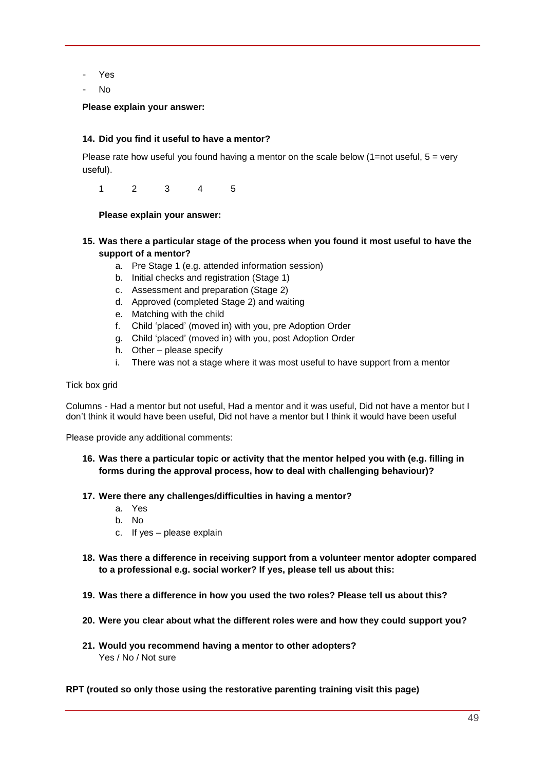- Yes
- No

#### **Please explain your answer:**

#### **14. Did you find it useful to have a mentor?**

Please rate how useful you found having a mentor on the scale below  $(1=$ not useful,  $5 =$  very useful).

1 2 3 4 5

#### **Please explain your answer:**

- **15. Was there a particular stage of the process when you found it most useful to have the support of a mentor?**
	- a. Pre Stage 1 (e.g. attended information session)
	- b. Initial checks and registration (Stage 1)
	- c. Assessment and preparation (Stage 2)
	- d. Approved (completed Stage 2) and waiting
	- e. Matching with the child
	- f. Child 'placed' (moved in) with you, pre Adoption Order
	- g. Child 'placed' (moved in) with you, post Adoption Order
	- h. Other please specify
	- i. There was not a stage where it was most useful to have support from a mentor

#### Tick box grid

Columns - Had a mentor but not useful, Had a mentor and it was useful, Did not have a mentor but I don't think it would have been useful, Did not have a mentor but I think it would have been useful

Please provide any additional comments:

- **16. Was there a particular topic or activity that the mentor helped you with (e.g. filling in forms during the approval process, how to deal with challenging behaviour)?**
- **17. Were there any challenges/difficulties in having a mentor?** 
	- a. Yes
	- b. No
	- c. If yes please explain
- **18. Was there a difference in receiving support from a volunteer mentor adopter compared to a professional e.g. social worker? If yes, please tell us about this:**
- **19. Was there a difference in how you used the two roles? Please tell us about this?**
- **20. Were you clear about what the different roles were and how they could support you?**
- **21. Would you recommend having a mentor to other adopters?**  Yes / No / Not sure

#### **RPT (routed so only those using the restorative parenting training visit this page)**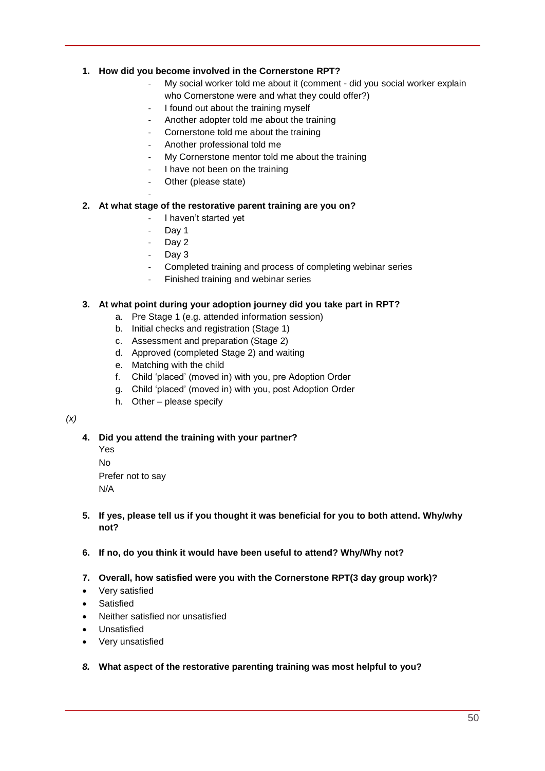#### **1. How did you become involved in the Cornerstone RPT?**

- My social worker told me about it (comment did you social worker explain who Cornerstone were and what they could offer?)
- I found out about the training myself
- Another adopter told me about the training
- Cornerstone told me about the training
- Another professional told me
- My Cornerstone mentor told me about the training
- I have not been on the training
- Other (please state)

#### **2. At what stage of the restorative parent training are you on?**

- I haven't started yet
- Day 1

-

- Day 2
- Day 3
- Completed training and process of completing webinar series
- Finished training and webinar series

#### **3. At what point during your adoption journey did you take part in RPT?**

- a. Pre Stage 1 (e.g. attended information session)
- b. Initial checks and registration (Stage 1)
- c. Assessment and preparation (Stage 2)
- d. Approved (completed Stage 2) and waiting
- e. Matching with the child
- f. Child 'placed' (moved in) with you, pre Adoption Order
- g. Child 'placed' (moved in) with you, post Adoption Order
- h. Other please specify

#### *(x)*

#### **4. Did you attend the training with your partner?**

Yes No Prefer not to say N/A

- **5. If yes, please tell us if you thought it was beneficial for you to both attend. Why/why not?**
- **6. If no, do you think it would have been useful to attend? Why/Why not?**
- **7. Overall, how satisfied were you with the Cornerstone RPT(3 day group work)?**
- Very satisfied
- Satisfied
- Neither satisfied nor unsatisfied
- Unsatisfied
- Very unsatisfied
- *8.* **What aspect of the restorative parenting training was most helpful to you?**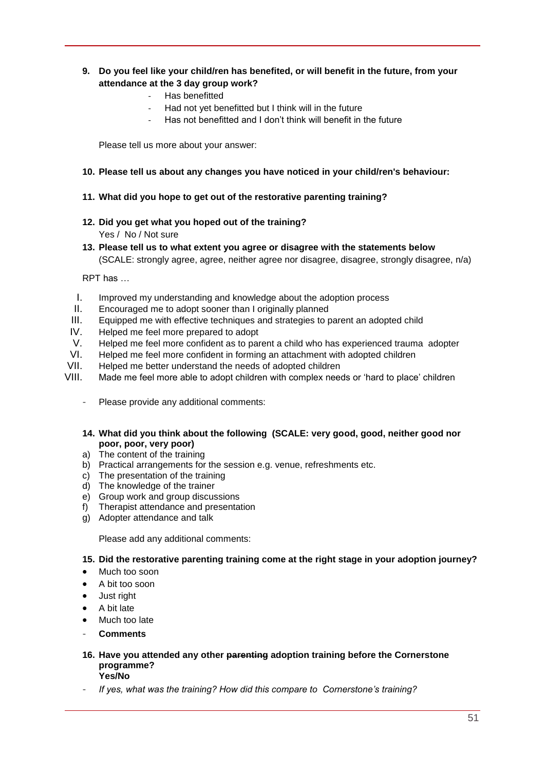#### **9. Do you feel like your child/ren has benefited, or will benefit in the future, from your attendance at the 3 day group work?**

- Has benefitted
- Had not yet benefitted but I think will in the future
- Has not benefitted and I don't think will benefit in the future

Please tell us more about your answer:

#### **10. Please tell us about any changes you have noticed in your child/ren's behaviour:**

#### **11. What did you hope to get out of the restorative parenting training?**

- **12. Did you get what you hoped out of the training?**  Yes / No / Not sure
- **13. Please tell us to what extent you agree or disagree with the statements below**  (SCALE: strongly agree, agree, neither agree nor disagree, disagree, strongly disagree, n/a)

RPT has …

- I. Improved my understanding and knowledge about the adoption process
- II. Encouraged me to adopt sooner than I originally planned
- III. Equipped me with effective techniques and strategies to parent an adopted child
- IV. Helped me feel more prepared to adopt
- V. Helped me feel more confident as to parent a child who has experienced trauma adopter
- VI. Helped me feel more confident in forming an attachment with adopted children<br>VII. Helped me better understand the needs of adopted children
- Helped me better understand the needs of adopted children
- VIII. Made me feel more able to adopt children with complex needs or 'hard to place' children
	- Please provide any additional comments:
	- **14. What did you think about the following (SCALE: very good, good, neither good nor poor, poor, very poor)**
	- a) The content of the training
	- b) Practical arrangements for the session e.g. venue, refreshments etc.
	- c) The presentation of the training
	- d) The knowledge of the trainer
	- e) Group work and group discussions
	- f) Therapist attendance and presentation
	- g) Adopter attendance and talk

Please add any additional comments:

**15. Did the restorative parenting training come at the right stage in your adoption journey?** 

- Much too soon
- A bit too soon
- Just right
- A bit late
- Much too late
- **Comments**
- **16. Have you attended any other parenting adoption training before the Cornerstone programme? Yes/No**
- *If yes, what was the training? How did this compare to Cornerstone's training?*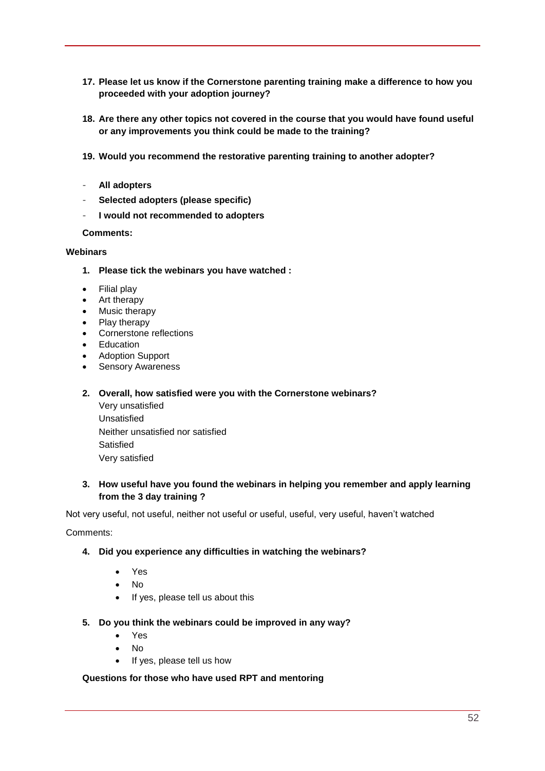- **17. Please let us know if the Cornerstone parenting training make a difference to how you proceeded with your adoption journey?**
- **18. Are there any other topics not covered in the course that you would have found useful or any improvements you think could be made to the training?**
- **19. Would you recommend the restorative parenting training to another adopter?**
- **All adopters**
- **Selected adopters (please specific)**
- **I would not recommended to adopters**

**Comments:**

#### **Webinars**

- **1. Please tick the webinars you have watched :**
- Filial play
- Art therapy
- Music therapy
- Play therapy
- Cornerstone reflections
- Education
- Adoption Support
- Sensory Awareness

#### **2. Overall, how satisfied were you with the Cornerstone webinars?**

Very unsatisfied Unsatisfied Neither unsatisfied nor satisfied Satisfied Very satisfied

#### **3. How useful have you found the webinars in helping you remember and apply learning from the 3 day training ?**

Not very useful, not useful, neither not useful or useful, useful, very useful, haven't watched

Comments:

#### **4. Did you experience any difficulties in watching the webinars?**

- Yes
- No
- If yes, please tell us about this
- **5. Do you think the webinars could be improved in any way?** 
	- Yes
	- $\bullet$  No
	- If yes, please tell us how

#### **Questions for those who have used RPT and mentoring**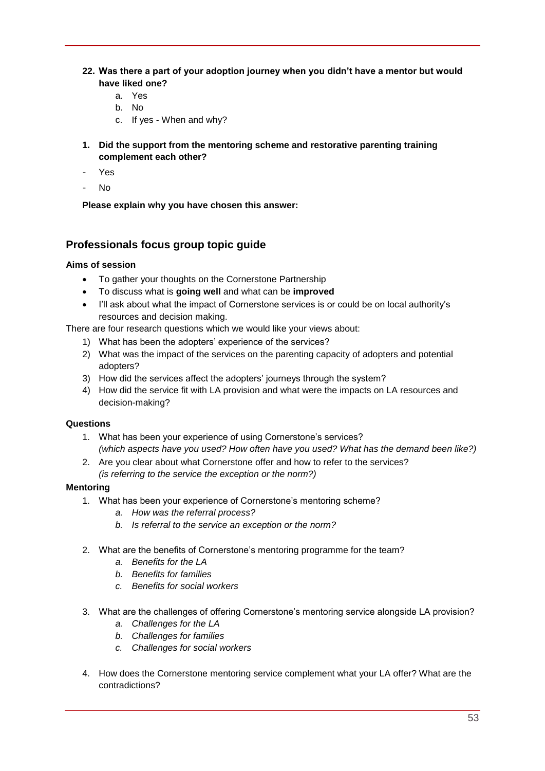- **22. Was there a part of your adoption journey when you didn't have a mentor but would have liked one?** 
	- a. Yes
	- b. No
	- c. If yes When and why?
- **1. Did the support from the mentoring scheme and restorative parenting training complement each other?**
- Yes
- No

**Please explain why you have chosen this answer:**

#### <span id="page-52-0"></span>**Professionals focus group topic guide**

#### **Aims of session**

- To gather your thoughts on the Cornerstone Partnership
- To discuss what is **going well** and what can be **improved**
- I'll ask about what the impact of Cornerstone services is or could be on local authority's resources and decision making.

There are four research questions which we would like your views about:

- 1) What has been the adopters' experience of the services?
- 2) What was the impact of the services on the parenting capacity of adopters and potential adopters?
- 3) How did the services affect the adopters' journeys through the system?
- 4) How did the service fit with LA provision and what were the impacts on LA resources and decision-making?

#### **Questions**

- 1. What has been your experience of using Cornerstone's services? *(which aspects have you used? How often have you used? What has the demand been like?)*
- 2. Are you clear about what Cornerstone offer and how to refer to the services? *(is referring to the service the exception or the norm?)*

#### **Mentoring**

- 1. What has been your experience of Cornerstone's mentoring scheme?
	- *a. How was the referral process?*
	- *b. Is referral to the service an exception or the norm?*
- 2. What are the benefits of Cornerstone's mentoring programme for the team?
	- *a. Benefits for the LA*
	- *b. Benefits for families*
	- *c. Benefits for social workers*
- 3. What are the challenges of offering Cornerstone's mentoring service alongside LA provision?
	- *a. Challenges for the LA*
	- *b. Challenges for families*
	- *c. Challenges for social workers*
- 4. How does the Cornerstone mentoring service complement what your LA offer? What are the contradictions?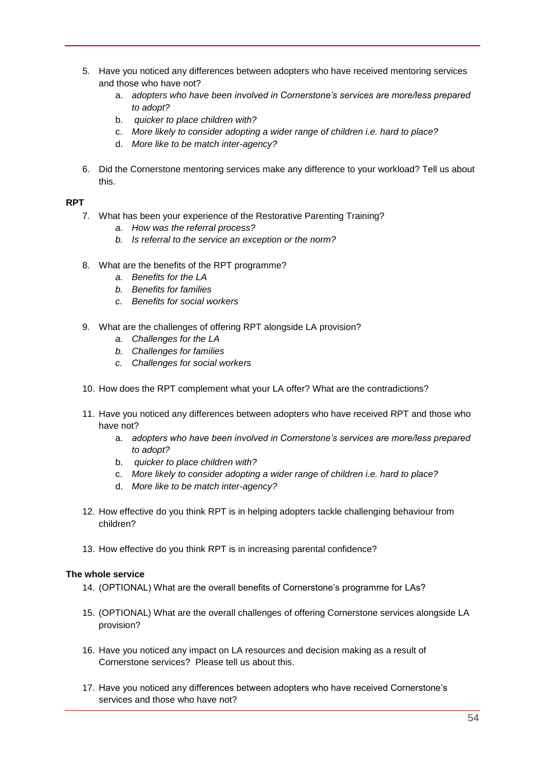- 5. Have you noticed any differences between adopters who have received mentoring services and those who have not?
	- a. *adopters who have been involved in Cornerstone's services are more/less prepared to adopt?*
	- b. *quicker to place children with?*
	- c. *More likely to consider adopting a wider range of children i.e. hard to place?*
	- d. *More like to be match inter-agency?*
- 6. Did the Cornerstone mentoring services make any difference to your workload? Tell us about this.

#### **RPT**

- 7. What has been your experience of the Restorative Parenting Training?
	- *a. How was the referral process?*
	- *b. Is referral to the service an exception or the norm?*
- 8. What are the benefits of the RPT programme?
	- *a. Benefits for the LA*
	- *b. Benefits for families*
	- *c. Benefits for social workers*
- 9. What are the challenges of offering RPT alongside LA provision?
	- *a. Challenges for the LA*
	- *b. Challenges for families*
	- *c. Challenges for social workers*
- 10. How does the RPT complement what your LA offer? What are the contradictions?
- 11. Have you noticed any differences between adopters who have received RPT and those who have not?
	- a. *adopters who have been involved in Cornerstone's services are more/less prepared to adopt?*
	- b. *quicker to place children with?*
	- c. *More likely to consider adopting a wider range of children i.e. hard to place?*
	- d. *More like to be match inter-agency?*
- 12. How effective do you think RPT is in helping adopters tackle challenging behaviour from children?
- 13. How effective do you think RPT is in increasing parental confidence?

#### **The whole service**

- 14. (OPTIONAL) What are the overall benefits of Cornerstone's programme for LAs?
- 15. (OPTIONAL) What are the overall challenges of offering Cornerstone services alongside LA provision?
- 16. Have you noticed any impact on LA resources and decision making as a result of Cornerstone services? Please tell us about this.
- 17. Have you noticed any differences between adopters who have received Cornerstone's services and those who have not?